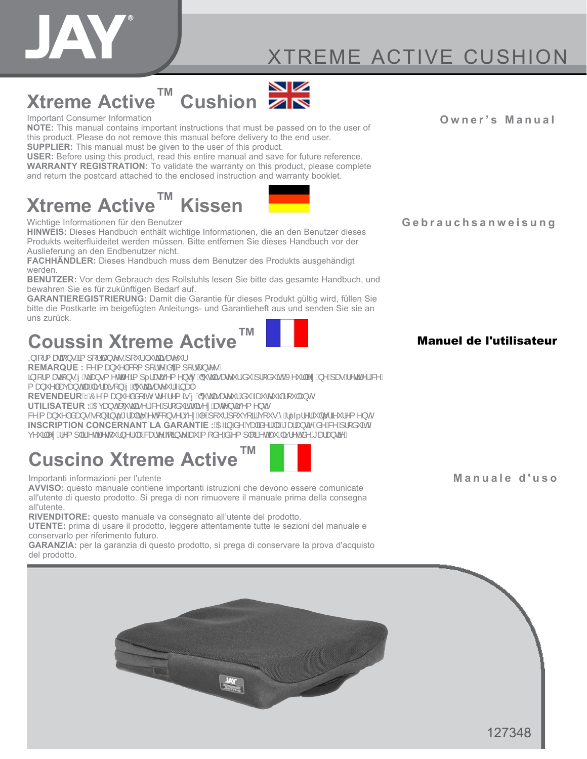# <u>XTREME ACTIVE CUSHION</u>

# **Xtreme Active<sup>™</sup> Cushion**

Important Consumer Information

**NOTE:** This manual contains important instructions that must be passed on to the user of this product. Please do not remove this manual before delivery to the end user. **SUPPLIER:** This manual must be given to the user of this product.

**USER:** Before using this product, read this entire manual and save for future reference. **WARRANTY REGISTRATION:** To validate the warranty on this product, please complete and return the postcard attached to the enclosed instruction and warranty booklet.

# **Xtreme Active™ Kissen**

Wichtige Informationen für den Benutzer

**HINWEIS:** Dieses Handbuch enthält wichtige Informationen, die an den Benutzer dieses Produkts weiterfluideitet werden müssen. Bitte entfernen Sie dieses Handbuch vor der Auslieferung an den Endbenutzer nicht.

**FACHHÄNDLER:** Dieses Handbuch muss dem Benutzer des Produkts ausgehändigt werden.

**BENUTZER:** Vor dem Gebrauch des Rollstuhls lesen Sie bitte das gesamte Handbuch, und bewahren Sie es für zukünftigen Bedarf auf.

**GARANTIEREGISTRIERUNG:** Damit die Garantie für dieses Produkt gültig wird, füllen Sie bitte die Postkarte im beigefügten Anleitungs- und Garantieheft aus und senden Sie sie an uns zurück.

# **Coussin Xtreme Active™**

Q)-[¦{æqã}∙Aã{][¦œa}c^∙A}[ˇ¦AC cããene^`¦

**REMARQUE : &^A æ} `^|Æ**[{][¦c^&qã[][¦cæ}c^●/

āj-[¦{aea@j}●AeAdaa}●{^cd^A@j]…laea@j^{^}oAeAqĭcā{aéae^`¦A&`Aj![å`ãbEXX^`ā|^:A}^AjaeA^cã^¦A&^/ {æ} ^*| A*æçæ}o Apælaç¦æã{}Ae Apidāvær YA-3jæl

**REVENDEURÁÔ^Á** a \* ^ |Ás| ãó 4 4 Á^{ ã ÁeÁq dã aze^ "lÁs" Á a e c^ " āÁl " | a d c

UTILISATEUR : QEas o dà q dã ^ | QR^ | i a afja ^ : Asec } ca ^ | o A

&^A{æ}`^|Aåæ}•A[}A§c.\*:|æpåc.A^oAS{}•^|ç^:E^A[`¦A[`ç[ãAş[`•AA..~.!^|A|c.!@`'|^{ ^}d INSCRIPTION CONCERNANT LA GARANTIE :AEન્? Aે ^A ଉ<del>ପ</del>୍ଷିଦ ¦*Ae*A ഓകു ଉଚ୍ଚ Aે ^A ^A ¦[ a` ãE ç^ˇã|^:A^{]|ãA^oA^qˇ¦^¦Aæ&æc^A≬ãc^AĕĂ{[å^AåO^{]|[ãA^oAĕĂ@;¦^oAå^A\*ætæ}œ^l

# **Cuscino Xtreme Active™**

Importanti informazioni per l'utente

**AVVISO:** questo manuale contiene importanti istruzioni che devono essere comunicate all'utente di questo prodotto. Si prega di non rimuovere il manuale prima della consegna all'utente.

**RIVENDITORE:** questo manuale va consegnato all'utente del prodotto.

**UTENTE:** prima di usare il prodotto, leggere attentamente tutte le sezioni del manuale e conservarlo per riferimento futuro.

**GARANZIA:** per la garanzia di questo prodotto, si prega di conservare la prova d'acquisto del prodotto.

**Manuale d'uso**

**Gebrauchsanweisung**

Manuel de l'utilisateur

127348





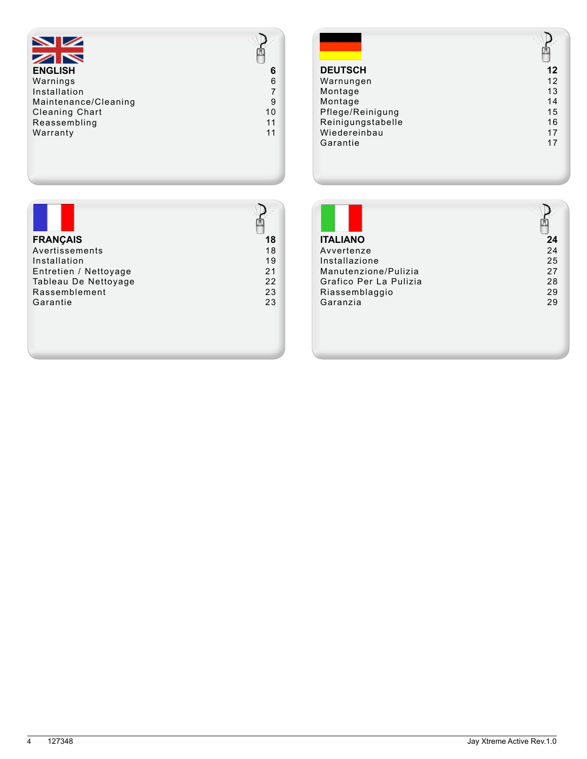| $\blacksquare$        |    |
|-----------------------|----|
| $\mathbb{Z}$          |    |
| <b>ENGLISH</b>        | 6  |
| Warnings              | 6  |
| Installation          |    |
| Maintenance/Cleaning  | 9  |
| <b>Cleaning Chart</b> | 10 |
| Reassembling          | 11 |
| Warranty              | 11 |
|                       |    |



| <b>DEUTSCH</b>    | 12 |
|-------------------|----|
| Warnungen         | 12 |
| Montage           | 13 |
| Montage           | 14 |
| Pflege/Reinigung  | 15 |
| Reinigungstabelle | 16 |
| Wiedereinbau      | 17 |
| Garantie          | 17 |
|                   |    |

 $\mathbb{P}$ 



| 18 |
|----|
| 18 |
| 19 |
| 21 |
| 22 |
| 23 |
| 23 |
|    |

| <b>ITALIANO</b>        | 24 |
|------------------------|----|
| Avvertenze             | 24 |
| Installazione          | 25 |
| Manutenzione/Pulizia   | 27 |
| Grafico Per La Pulizia | 28 |
| Riassemblaggio         | 29 |
| Garanzia               | 29 |
|                        |    |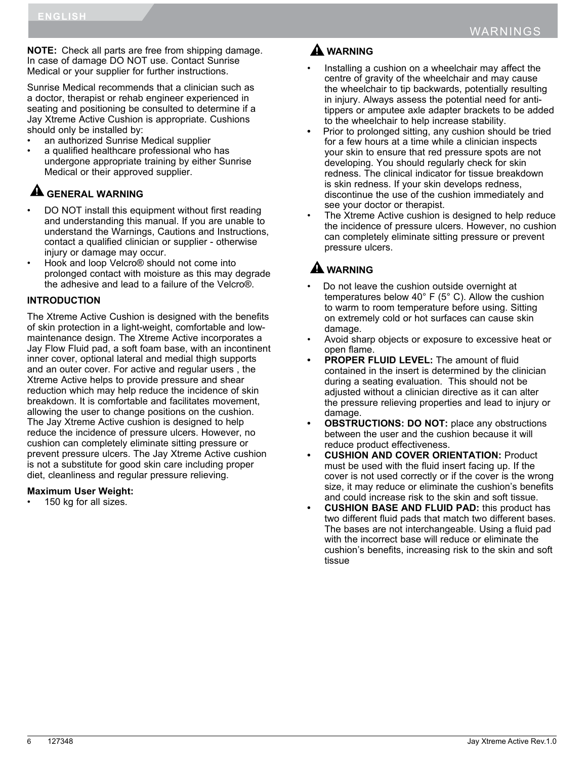<span id="page-2-0"></span>**NOTE:** Check all parts are free from shipping damage. In case of damage DO NOT use. Contact Sunrise Medical or your supplier for further instructions.

Sunrise Medical recommends that a clinician such as a doctor, therapist or rehab engineer experienced in seating and positioning be consulted to determine if a Jay Xtreme Active Cushion is appropriate. Cushions should only be installed by:

- an authorized Sunrise Medical supplier
- a qualified healthcare professional who has undergone appropriate training by either Sunrise Medical or their approved supplier.

# **A GENERAL WARNING**

- DO NOT install this equipment without first reading and understanding this manual. If you are unable to understand the Warnings, Cautions and Instructions, contact a qualified clinician or supplier - otherwise injury or damage may occur.
- Hook and loop Velcro® should not come into prolonged contact with moisture as this may degrade the adhesive and lead to a failure of the Velcro®.

#### **INTRODUCTION**

The Xtreme Active Cushion is designed with the benefits of skin protection in a light-weight, comfortable and lowmaintenance design. The Xtreme Active incorporates a Jay Flow Fluid pad, a soft foam base, with an incontinent inner cover, optional lateral and medial thigh supports and an outer cover. For active and regular users , the Xtreme Active helps to provide pressure and shear reduction which may help reduce the incidence of skin breakdown. It is comfortable and facilitates movement, allowing the user to change positions on the cushion. The Jay Xtreme Active cushion is designed to help reduce the incidence of pressure ulcers. However, no cushion can completely eliminate sitting pressure or prevent pressure ulcers. The Jay Xtreme Active cushion is not a substitute for good skin care including proper diet, cleanliness and regular pressure relieving.

#### **Maximum User Weight:**

150 kg for all sizes.

# A WARNING

- Installing a cushion on a wheelchair may affect the centre of gravity of the wheelchair and may cause the wheelchair to tip backwards, potentially resulting in injury. Always assess the potential need for antitippers or amputee axle adapter brackets to be added to the wheelchair to help increase stability.
- **•** Prior to prolonged sitting, any cushion should be tried for a few hours at a time while a clinician inspects your skin to ensure that red pressure spots are not developing. You should regularly check for skin redness. The clinical indicator for tissue breakdown is skin redness. If your skin develops redness, discontinue the use of the cushion immediately and see your doctor or therapist.
- The Xtreme Active cushion is designed to help reduce the incidence of pressure ulcers. However, no cushion can completely eliminate sitting pressure or prevent pressure ulcers.

# **A** WARNING

- Do not leave the cushion outside overnight at temperatures below 40° F (5° C). Allow the cushion to warm to room temperature before using. Sitting on extremely cold or hot surfaces can cause skin damage.
- Avoid sharp objects or exposure to excessive heat or open flame.
- **• PROPER FLUID LEVEL:** The amount of fluid contained in the insert is determined by the clinician during a seating evaluation. This should not be adjusted without a clinician directive as it can alter the pressure relieving properties and lead to injury or damage.
- **OBSTRUCTIONS: DO NOT:** place any obstructions between the user and the cushion because it will reduce product effectiveness.
- **• CUSHION AND COVER ORIENTATION:** Product must be used with the fluid insert facing up. If the cover is not used correctly or if the cover is the wrong size, it may reduce or eliminate the cushion's benefits and could increase risk to the skin and soft tissue.
- **• CUSHION BASE AND FLUID PAD:** this product has two different fluid pads that match two different bases. The bases are not interchangeable. Using a fluid pad with the incorrect base will reduce or eliminate the cushion's benefits, increasing risk to the skin and soft tissue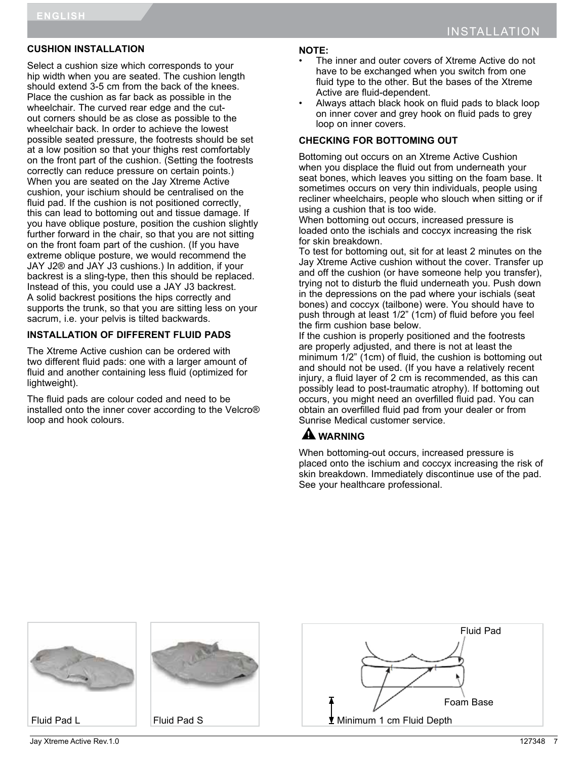#### <span id="page-3-0"></span>**CUSHION INSTALLATION**

Select a cushion size which corresponds to your hip width when you are seated. The cushion length should extend 3-5 cm from the back of the knees. Place the cushion as far back as possible in the wheelchair. The curved rear edge and the cutout corners should be as close as possible to the wheelchair back. In order to achieve the lowest possible seated pressure, the footrests should be set at a low position so that your thighs rest comfortably on the front part of the cushion. (Setting the footrests correctly can reduce pressure on certain points.) When you are seated on the Jay Xtreme Active cushion, your ischium should be centralised on the fluid pad. If the cushion is not positioned correctly, this can lead to bottoming out and tissue damage. If you have oblique posture, position the cushion slightly further forward in the chair, so that you are not sitting on the front foam part of the cushion. (If you have extreme oblique posture, we would recommend the JAY J2® and JAY J3 cushions.) In addition, if your backrest is a sling-type, then this should be replaced. Instead of this, you could use a JAY J3 backrest. A solid backrest positions the hips correctly and supports the trunk, so that you are sitting less on your sacrum, i.e. your pelvis is tilted backwards.

#### **INSTALLATION OF DIFFERENT FLUID PADS**

The Xtreme Active cushion can be ordered with two different fluid pads: one with a larger amount of fluid and another containing less fluid (optimized for lightweight).

The fluid pads are colour coded and need to be installed onto the inner cover according to the Velcro® loop and hook colours.

#### **NOTE:**

- The inner and outer covers of Xtreme Active do not have to be exchanged when you switch from one fluid type to the other. But the bases of the Xtreme Active are fluid-dependent.
- Always attach black hook on fluid pads to black loop on inner cover and grey hook on fluid pads to grey loop on inner covers.

#### **CHECKING FOR BOTTOMING OUT**

Bottoming out occurs on an Xtreme Active Cushion when you displace the fluid out from underneath your seat bones, which leaves you sitting on the foam base. It sometimes occurs on very thin individuals, people using recliner wheelchairs, people who slouch when sitting or if using a cushion that is too wide.

When bottoming out occurs, increased pressure is loaded onto the ischials and coccyx increasing the risk for skin breakdown.

To test for bottoming out, sit for at least 2 minutes on the Jay Xtreme Active cushion without the cover. Transfer up and off the cushion (or have someone help you transfer), trying not to disturb the fluid underneath you. Push down in the depressions on the pad where your ischials (seat bones) and coccyx (tailbone) were. You should have to push through at least 1/2" (1cm) of fluid before you feel the firm cushion base below.

If the cushion is properly positioned and the footrests are properly adjusted, and there is not at least the minimum 1/2" (1cm) of fluid, the cushion is bottoming out and should not be used. (If you have a relatively recent injury, a fluid layer of 2 cm is recommended, as this can possibly lead to post-traumatic atrophy). If bottoming out occurs, you might need an overfilled fluid pad. You can obtain an overfilled fluid pad from your dealer or from Sunrise Medical customer service.

# A WARNING

When bottoming-out occurs, increased pressure is placed onto the ischium and coccyx increasing the risk of skin breakdown. Immediately discontinue use of the pad. See your healthcare professional.





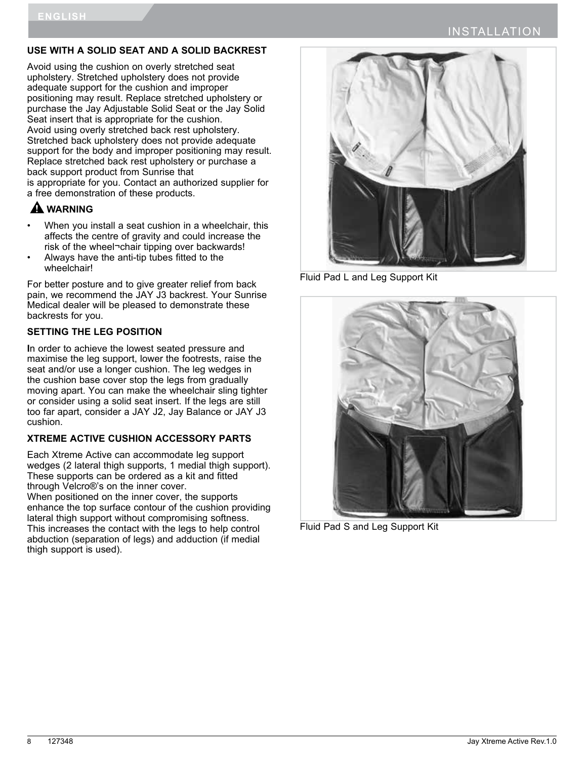#### **INSTALLATION**

#### **USE WITH A SOLID SEAT AND A SOLID BACKREST**

Avoid using the cushion on overly stretched seat upholstery. Stretched upholstery does not provide adequate support for the cushion and improper positioning may result. Replace stretched upholstery or purchase the Jay Adjustable Solid Seat or the Jay Solid Seat insert that is appropriate for the cushion. Avoid using overly stretched back rest upholstery. Stretched back upholstery does not provide adequate support for the body and improper positioning may result. Replace stretched back rest upholstery or purchase a back support product from Sunrise that is appropriate for you. Contact an authorized supplier for a free demonstration of these products.

# **WARNING**

- When you install a seat cushion in a wheelchair, this affects the centre of gravity and could increase the risk of the wheel¬chair tipping over backwards!
- Always have the anti-tip tubes fitted to the wheelchair!

For better posture and to give greater relief from back pain, we recommend the JAY J3 backrest. Your Sunrise Medical dealer will be pleased to demonstrate these backrests for you.

#### **SETTING THE LEG POSITION**

**I**n order to achieve the lowest seated pressure and maximise the leg support, lower the footrests, raise the seat and/or use a longer cushion. The leg wedges in the cushion base cover stop the legs from gradually moving apart. You can make the wheelchair sling tighter or consider using a solid seat insert. If the legs are still too far apart, consider a JAY J2, Jay Balance or JAY J3 cushion.

#### **XTREME ACTIVE CUSHION ACCESSORY PARTS**

Each Xtreme Active can accommodate leg support wedges (2 lateral thigh supports, 1 medial thigh support). These supports can be ordered as a kit and fitted through Velcro®'s on the inner cover.

When positioned on the inner cover, the supports enhance the top surface contour of the cushion providing lateral thigh support without compromising softness. This increases the contact with the legs to help control abduction (separation of legs) and adduction (if medial thigh support is used).



Fluid Pad L and Leg Support Kit



Fluid Pad S and Leg Support Kit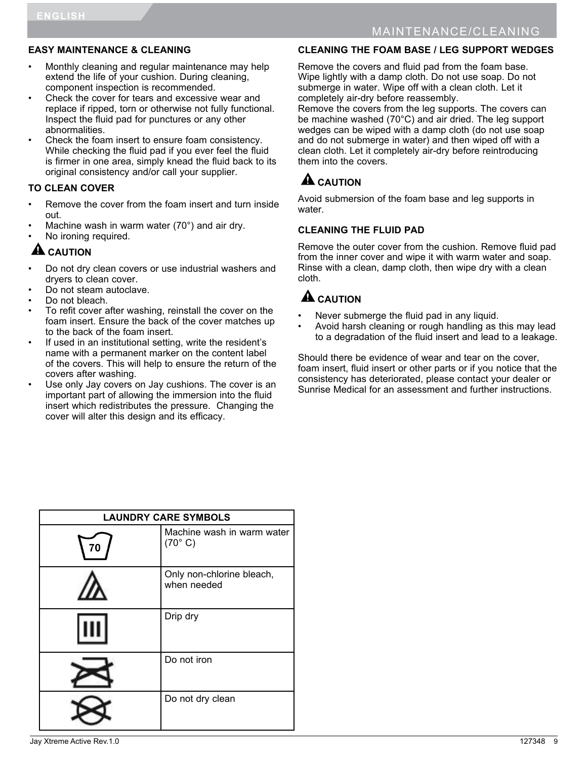#### <span id="page-5-0"></span>**EASY MAINTENANCE & CLEANING**

- Monthly cleaning and regular maintenance may help extend the life of your cushion. During cleaning, component inspection is recommended.
- Check the cover for tears and excessive wear and replace if ripped, torn or otherwise not fully functional. Inspect the fluid pad for punctures or any other abnormalities.
- Check the foam insert to ensure foam consistency. While checking the fluid pad if you ever feel the fluid is firmer in one area, simply knead the fluid back to its original consistency and/or call your supplier.

#### **TO CLEAN COVER**

- Remove the cover from the foam insert and turn inside out.
- Machine wash in warm water (70°) and air dry.
- No ironing required.

#### **A** CAUTION

- Do not dry clean covers or use industrial washers and dryers to clean cover.
- Do not steam autoclave.
- Do not bleach.
- To refit cover after washing, reinstall the cover on the foam insert. Ensure the back of the cover matches up to the back of the foam insert.
- If used in an institutional setting, write the resident's name with a permanent marker on the content label of the covers. This will help to ensure the return of the covers after washing.
- Use only Jay covers on Jay cushions. The cover is an important part of allowing the immersion into the fluid insert which redistributes the pressure. Changing the cover will alter this design and its efficacy.

### **CLEANING THE FOAM BASE / LEG SUPPORT WEDGES**

Remove the covers and fluid pad from the foam base. Wipe lightly with a damp cloth. Do not use soap. Do not submerge in water. Wipe off with a clean cloth. Let it completely air-dry before reassembly.

Remove the covers from the leg supports. The covers can be machine washed (70°C) and air dried. The leg support wedges can be wiped with a damp cloth (do not use soap and do not submerge in water) and then wiped off with a clean cloth. Let it completely air-dry before reintroducing them into the covers.

# **A** CAUTION

Avoid submersion of the foam base and leg supports in water.

#### **CLEANING THE FLUID PAD**

Remove the outer cover from the cushion. Remove fluid pad from the inner cover and wipe it with warm water and soap. Rinse with a clean, damp cloth, then wipe dry with a clean cloth.

# **A** CAUTION

- Never submerge the fluid pad in any liquid.
- Avoid harsh cleaning or rough handling as this may lead to a degradation of the fluid insert and lead to a leakage.

Should there be evidence of wear and tear on the cover, foam insert, fluid insert or other parts or if you notice that the consistency has deteriorated, please contact your dealer or Sunrise Medical for an assessment and further instructions.

| <b>LAUNDRY CARE SYMBOLS</b> |                                                |  |  |  |  |  |
|-----------------------------|------------------------------------------------|--|--|--|--|--|
| 70                          | Machine wash in warm water<br>$(70^{\circ} C)$ |  |  |  |  |  |
|                             | Only non-chlorine bleach,<br>when needed       |  |  |  |  |  |
|                             | Drip dry                                       |  |  |  |  |  |
|                             | Do not iron                                    |  |  |  |  |  |
|                             | Do not dry clean                               |  |  |  |  |  |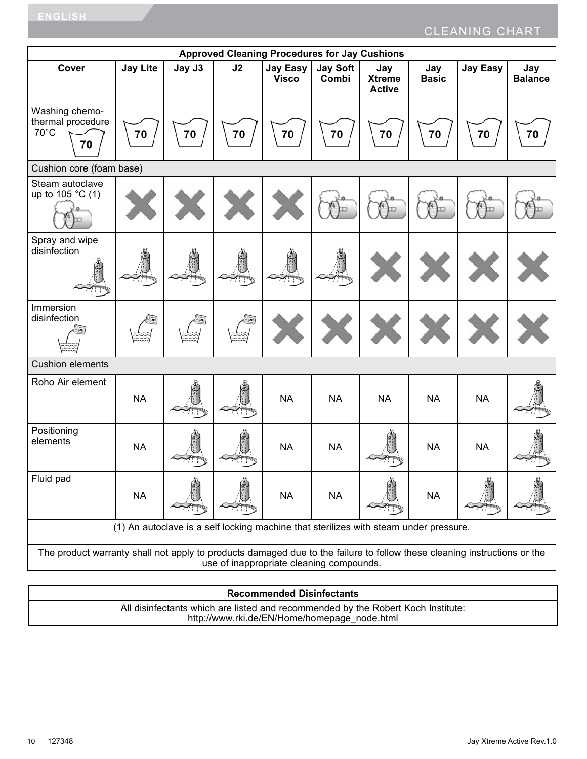# CLEANING CHART

<span id="page-6-0"></span>

|                                                                                                                          | <b>Approved Cleaning Procedures for Jay Cushions</b> |        |    |                                          |                          |                                       |                     |                 |                       |
|--------------------------------------------------------------------------------------------------------------------------|------------------------------------------------------|--------|----|------------------------------------------|--------------------------|---------------------------------------|---------------------|-----------------|-----------------------|
| Cover                                                                                                                    | <b>Jay Lite</b>                                      | Jay J3 | J2 | <b>Jay Easy</b><br><b>Visco</b>          | <b>Jay Soft</b><br>Combi | Jay<br><b>Xtreme</b><br><b>Active</b> | Jay<br><b>Basic</b> | <b>Jay Easy</b> | Jay<br><b>Balance</b> |
| Washing chemo-<br>thermal procedure<br>$70^{\circ}$ C<br>70                                                              | 70                                                   | 70     | 70 | 70                                       | 70                       | 70                                    | 70                  | 70              | 70                    |
| Cushion core (foam base)                                                                                                 |                                                      |        |    |                                          |                          |                                       |                     |                 |                       |
| Steam autoclave<br>up to 105 $^{\circ}$ C (1)                                                                            |                                                      |        |    |                                          |                          |                                       |                     |                 |                       |
| Spray and wipe<br>disinfection                                                                                           |                                                      |        |    |                                          |                          |                                       |                     |                 |                       |
| Immersion<br>disinfection                                                                                                |                                                      |        |    |                                          |                          |                                       |                     |                 |                       |
| <b>Cushion elements</b>                                                                                                  |                                                      |        |    |                                          |                          |                                       |                     |                 |                       |
| Roho Air element                                                                                                         | <b>NA</b>                                            |        |    | <b>NA</b>                                | <b>NA</b>                | <b>NA</b>                             | <b>NA</b>           | <b>NA</b>       |                       |
| Positioning<br>elements                                                                                                  | <b>NA</b>                                            |        |    | <b>NA</b>                                | <b>NA</b>                |                                       | <b>NA</b>           | <b>NA</b>       |                       |
| Fluid pad                                                                                                                | <b>NA</b>                                            | R      | ଲ  | <b>NA</b>                                | <b>NA</b>                | я                                     | <b>NA</b>           | ଲ               |                       |
| (1) An autoclave is a self locking machine that sterilizes with steam under pressure.                                    |                                                      |        |    |                                          |                          |                                       |                     |                 |                       |
| The product warranty shall not apply to products damaged due to the failure to follow these cleaning instructions or the |                                                      |        |    | use of inappropriate cleaning compounds. |                          |                                       |                     |                 |                       |
|                                                                                                                          |                                                      |        |    |                                          |                          |                                       |                     |                 |                       |

#### **Recommended Disinfectants**

All disinfectants which are listed and recommended by the Robert Koch Institute: http://www.rki.de/EN/Home/homepage\_node.html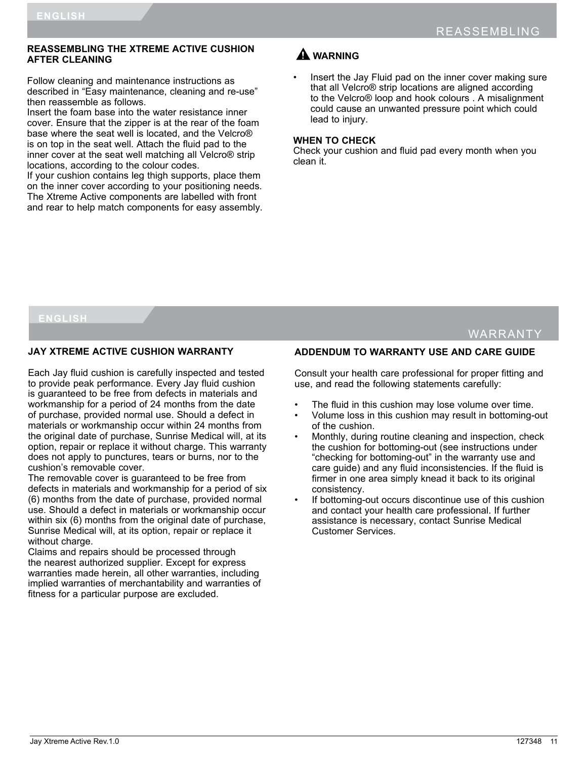WARRANTY

#### <span id="page-7-0"></span>**REASSEMBLING THE XTREME ACTIVE CUSHION AFTER CLEANING**

Follow cleaning and maintenance instructions as described in "Easy maintenance, cleaning and re-use" then reassemble as follows.

Insert the foam base into the water resistance inner cover. Ensure that the zipper is at the rear of the foam base where the seat well is located, and the Velcro® is on top in the seat well. Attach the fluid pad to the inner cover at the seat well matching all Velcro® strip locations, according to the colour codes.

If your cushion contains leg thigh supports, place them on the inner cover according to your positioning needs. The Xtreme Active components are labelled with front and rear to help match components for easy assembly.

# **WARNING**

Insert the Jay Fluid pad on the inner cover making sure that all Velcro® strip locations are aligned according to the Velcro® loop and hook colours . A misalignment could cause an unwanted pressure point which could lead to injury.

#### **WHEN TO CHECK**

Check your cushion and fluid pad every month when you clean it.

# **ENGLISH**

#### **JAY XTREME ACTIVE CUSHION WARRANTY**

Each Jay fluid cushion is carefully inspected and tested to provide peak performance. Every Jay fluid cushion is guaranteed to be free from defects in materials and workmanship for a period of 24 months from the date of purchase, provided normal use. Should a defect in materials or workmanship occur within 24 months from the original date of purchase, Sunrise Medical will, at its option, repair or replace it without charge. This warranty does not apply to punctures, tears or burns, nor to the cushion's removable cover.

The removable cover is guaranteed to be free from defects in materials and workmanship for a period of six (6) months from the date of purchase, provided normal use. Should a defect in materials or workmanship occur within six (6) months from the original date of purchase, Sunrise Medical will, at its option, repair or replace it without charge.

Claims and repairs should be processed through the nearest authorized supplier. Except for express warranties made herein, all other warranties, including implied warranties of merchantability and warranties of fitness for a particular purpose are excluded.

#### **ADDENDUM TO WARRANTY USE AND CARE GUIDE**

Consult your health care professional for proper fitting and use, and read the following statements carefully:

- The fluid in this cushion may lose volume over time.
- Volume loss in this cushion may result in bottoming-out of the cushion.
- Monthly, during routine cleaning and inspection, check the cushion for bottoming-out (see instructions under "checking for bottoming-out" in the warranty use and care guide) and any fluid inconsistencies. If the fluid is firmer in one area simply knead it back to its original consistency.
- If bottoming-out occurs discontinue use of this cushion and contact your health care professional. If further assistance is necessary, contact Sunrise Medical Customer Services.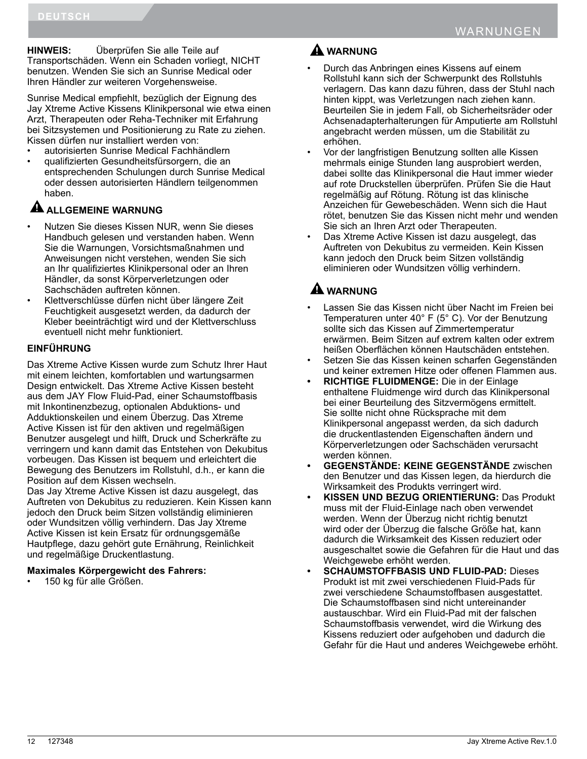<span id="page-8-0"></span>**HINWEIS:** Überprüfen Sie alle Teile auf Transportschäden. Wenn ein Schaden vorliegt, NICHT benutzen. Wenden Sie sich an Sunrise Medical oder Ihren Händler zur weiteren Vorgehensweise.

Sunrise Medical empfiehlt, bezüglich der Eignung des Jay Xtreme Active Kissens Klinikpersonal wie etwa einen Arzt, Therapeuten oder Reha-Techniker mit Erfahrung bei Sitzsystemen und Positionierung zu Rate zu ziehen. Kissen dürfen nur installiert werden von:

- autorisierten Sunrise Medical Fachhändlern
- qualifizierten Gesundheitsfürsorgern, die an entsprechenden Schulungen durch Sunrise Medical oder dessen autorisierten Händlern teilgenommen haben.

### **ALLGEMEINE WARNUNG**

- Nutzen Sie dieses Kissen NUR, wenn Sie dieses Handbuch gelesen und verstanden haben. Wenn Sie die Warnungen, Vorsichtsmaßnahmen und Anweisungen nicht verstehen, wenden Sie sich an Ihr qualifiziertes Klinikpersonal oder an Ihren Händler, da sonst Körperverletzungen oder Sachschäden auftreten können.
- Klettverschlüsse dürfen nicht über längere Zeit Feuchtigkeit ausgesetzt werden, da dadurch der Kleber beeinträchtigt wird und der Klettverschluss eventuell nicht mehr funktioniert.

#### **EINFÜHRUNG**

Das Xtreme Active Kissen wurde zum Schutz Ihrer Haut mit einem leichten, komfortablen und wartungsarmen Design entwickelt. Das Xtreme Active Kissen besteht aus dem JAY Flow Fluid-Pad, einer Schaumstoffbasis mit Inkontinenzbezug, optionalen Abduktions- und Adduktionskeilen und einem Überzug. Das Xtreme Active Kissen ist für den aktiven und regelmäßigen Benutzer ausgelegt und hilft, Druck und Scherkräfte zu verringern und kann damit das Entstehen von Dekubitus vorbeugen. Das Kissen ist bequem und erleichtert die Bewegung des Benutzers im Rollstuhl, d.h., er kann die Position auf dem Kissen wechseln.

Das Jay Xtreme Active Kissen ist dazu ausgelegt, das Auftreten von Dekubitus zu reduzieren. Kein Kissen kann jedoch den Druck beim Sitzen vollständig eliminieren oder Wundsitzen völlig verhindern. Das Jay Xtreme Active Kissen ist kein Ersatz für ordnungsgemäße Hautpflege, dazu gehört gute Ernährung, Reinlichkeit und regelmäßige Druckentlastung.

#### **Maximales Körpergewicht des Fahrers:**

• 150 kg für alle Größen.

# A WARNUNG

- Durch das Anbringen eines Kissens auf einem Rollstuhl kann sich der Schwerpunkt des Rollstuhls verlagern. Das kann dazu führen, dass der Stuhl nach hinten kippt, was Verletzungen nach ziehen kann. Beurteilen Sie in jedem Fall, ob Sicherheitsräder oder Achsenadapterhalterungen für Amputierte am Rollstuhl angebracht werden müssen, um die Stabilität zu erhöhen.
- Vor der langfristigen Benutzung sollten alle Kissen mehrmals einige Stunden lang ausprobiert werden, dabei sollte das Klinikpersonal die Haut immer wieder auf rote Druckstellen überprüfen. Prüfen Sie die Haut regelmäßig auf Rötung. Rötung ist das klinische Anzeichen für Gewebeschäden. Wenn sich die Haut rötet, benutzen Sie das Kissen nicht mehr und wenden Sie sich an Ihren Arzt oder Therapeuten.
- Das Xtreme Active Kissen ist dazu ausgelegt, das Auftreten von Dekubitus zu vermeiden. Kein Kissen kann jedoch den Druck beim Sitzen vollständig eliminieren oder Wundsitzen völlig verhindern.

# **WARNUNG**

- Lassen Sie das Kissen nicht über Nacht im Freien bei Temperaturen unter 40° F (5° C). Vor der Benutzung sollte sich das Kissen auf Zimmertemperatur erwärmen. Beim Sitzen auf extrem kalten oder extrem heißen Oberflächen können Hautschäden entstehen.
- Setzen Sie das Kissen keinen scharfen Gegenständen und keiner extremen Hitze oder offenen Flammen aus.
- **• RICHTIGE FLUIDMENGE:** Die in der Einlage enthaltene Fluidmenge wird durch das Klinikpersonal bei einer Beurteilung des Sitzvermögens ermittelt. Sie sollte nicht ohne Rücksprache mit dem Klinikpersonal angepasst werden, da sich dadurch die druckentlastenden Eigenschaften ändern und Körperverletzungen oder Sachschäden verursacht werden können.
- **• GEGENSTÄNDE: KEINE GEGENSTÄNDE** zwischen den Benutzer und das Kissen legen, da hierdurch die Wirksamkeit des Produkts verringert wird.
- **• KISSEN UND BEZUG ORIENTIERUNG:** Das Produkt muss mit der Fluid-Einlage nach oben verwendet werden. Wenn der Überzug nicht richtig benutzt wird oder der Überzug die falsche Größe hat, kann dadurch die Wirksamkeit des Kissen reduziert oder ausgeschaltet sowie die Gefahren für die Haut und das Weichgewebe erhöht werden.
- **• SCHAUMSTOFFBASIS UND FLUID-PAD:** Dieses Produkt ist mit zwei verschiedenen Fluid-Pads für zwei verschiedene Schaumstoffbasen ausgestattet. Die Schaumstoffbasen sind nicht untereinander austauschbar. Wird ein Fluid-Pad mit der falschen Schaumstoffbasis verwendet, wird die Wirkung des Kissens reduziert oder aufgehoben und dadurch die Gefahr für die Haut und anderes Weichgewebe erhöht.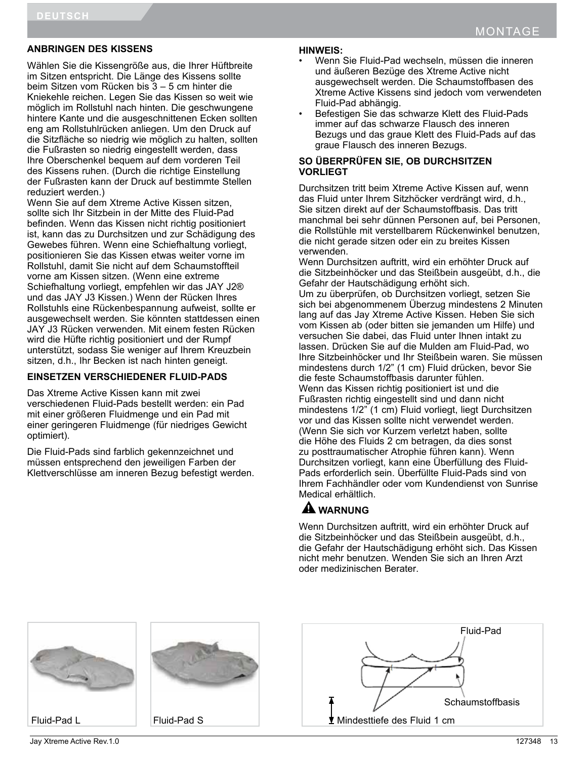#### <span id="page-9-0"></span>**ANBRINGEN DES KISSENS**

Wählen Sie die Kissengröße aus, die Ihrer Hüftbreite im Sitzen entspricht. Die Länge des Kissens sollte beim Sitzen vom Rücken bis 3 – 5 cm hinter die Kniekehle reichen. Legen Sie das Kissen so weit wie möglich im Rollstuhl nach hinten. Die geschwungene hintere Kante und die ausgeschnittenen Ecken sollten eng am Rollstuhlrücken anliegen. Um den Druck auf die Sitzfläche so niedrig wie möglich zu halten, sollten die Fußrasten so niedrig eingestellt werden, dass Ihre Oberschenkel bequem auf dem vorderen Teil des Kissens ruhen. (Durch die richtige Einstellung der Fußrasten kann der Druck auf bestimmte Stellen reduziert werden.)

Wenn Sie auf dem Xtreme Active Kissen sitzen, sollte sich Ihr Sitzbein in der Mitte des Fluid-Pad befinden. Wenn das Kissen nicht richtig positioniert ist, kann das zu Durchsitzen und zur Schädigung des Gewebes führen. Wenn eine Schiefhaltung vorliegt, positionieren Sie das Kissen etwas weiter vorne im Rollstuhl, damit Sie nicht auf dem Schaumstoffteil vorne am Kissen sitzen. (Wenn eine extreme Schiefhaltung vorliegt, empfehlen wir das JAY J2® und das JAY J3 Kissen.) Wenn der Rücken Ihres Rollstuhls eine Rückenbespannung aufweist, sollte er ausgewechselt werden. Sie könnten stattdessen einen JAY J3 Rücken verwenden. Mit einem festen Rücken wird die Hüfte richtig positioniert und der Rumpf unterstützt, sodass Sie weniger auf Ihrem Kreuzbein sitzen, d.h., Ihr Becken ist nach hinten geneigt.

#### **EINSETZEN VERSCHIEDENER FLUID-PADS**

Das Xtreme Active Kissen kann mit zwei verschiedenen Fluid-Pads bestellt werden: ein Pad mit einer größeren Fluidmenge und ein Pad mit einer geringeren Fluidmenge (für niedriges Gewicht optimiert).

Die Fluid-Pads sind farblich gekennzeichnet und müssen entsprechend den jeweiligen Farben der Klettverschlüsse am inneren Bezug befestigt werden.

#### **HINWEIS:**

- Wenn Sie Fluid-Pad wechseln, müssen die inneren und äußeren Bezüge des Xtreme Active nicht ausgewechselt werden. Die Schaumstoffbasen des Xtreme Active Kissens sind jedoch vom verwendeten Fluid-Pad abhängig.
- Befestigen Sie das schwarze Klett des Fluid-Pads immer auf das schwarze Flausch des inneren Bezugs und das graue Klett des Fluid-Pads auf das graue Flausch des inneren Bezugs.

#### **SO ÜBERPRÜFEN SIE, OB DURCHSITZEN VORLIEGT**

Durchsitzen tritt beim Xtreme Active Kissen auf, wenn das Fluid unter Ihrem Sitzhöcker verdrängt wird, d.h., Sie sitzen direkt auf der Schaumstoffbasis. Das tritt manchmal bei sehr dünnen Personen auf, bei Personen, die Rollstühle mit verstellbarem Rückenwinkel benutzen, die nicht gerade sitzen oder ein zu breites Kissen verwenden.

Wenn Durchsitzen auftritt, wird ein erhöhter Druck auf die Sitzbeinhöcker und das Steißbein ausgeübt, d.h., die Gefahr der Hautschädigung erhöht sich. Um zu überprüfen, ob Durchsitzen vorliegt, setzen Sie sich bei abgenommenem Überzug mindestens 2 Minuten lang auf das Jay Xtreme Active Kissen. Heben Sie sich vom Kissen ab (oder bitten sie jemanden um Hilfe) und versuchen Sie dabei, das Fluid unter Ihnen intakt zu lassen. Drücken Sie auf die Mulden am Fluid-Pad, wo Ihre Sitzbeinhöcker und Ihr Steißbein waren. Sie müssen mindestens durch 1/2" (1 cm) Fluid drücken, bevor Sie die feste Schaumstoffbasis darunter fühlen. Wenn das Kissen richtig positioniert ist und die Fußrasten richtig eingestellt sind und dann nicht mindestens 1/2" (1 cm) Fluid vorliegt, liegt Durchsitzen vor und das Kissen sollte nicht verwendet werden. (Wenn Sie sich vor Kurzem verletzt haben, sollte die Höhe des Fluids 2 cm betragen, da dies sonst zu posttraumatischer Atrophie führen kann). Wenn Durchsitzen vorliegt, kann eine Überfüllung des Fluid-Pads erforderlich sein. Überfüllte Fluid-Pads sind von Ihrem Fachhändler oder vom Kundendienst von Sunrise Medical erhältlich.

#### A WARNUNG

Wenn Durchsitzen auftritt, wird ein erhöhter Druck auf die Sitzbeinhöcker und das Steißbein ausgeübt, d.h., die Gefahr der Hautschädigung erhöht sich. Das Kissen nicht mehr benutzen. Wenden Sie sich an Ihren Arzt oder medizinischen Berater.





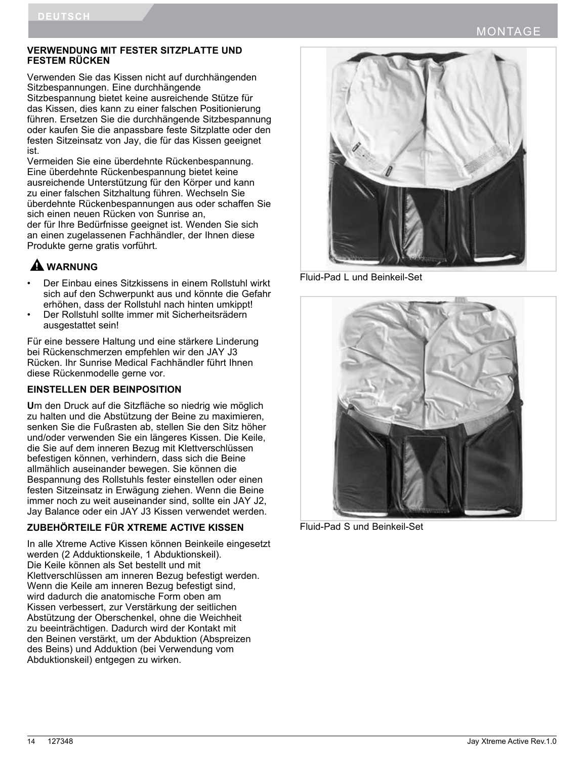#### MONTAGE

#### <span id="page-10-0"></span>**VERWENDUNG MIT FESTER SITZPLATTE UND FESTEM RÜCKEN**

Verwenden Sie das Kissen nicht auf durchhängenden Sitzbespannungen. Eine durchhängende Sitzbespannung bietet keine ausreichende Stütze für das Kissen, dies kann zu einer falschen Positionierung führen. Ersetzen Sie die durchhängende Sitzbespannung oder kaufen Sie die anpassbare feste Sitzplatte oder den festen Sitzeinsatz von Jay, die für das Kissen geeignet ist.

Vermeiden Sie eine überdehnte Rückenbespannung. Eine überdehnte Rückenbespannung bietet keine ausreichende Unterstützung für den Körper und kann zu einer falschen Sitzhaltung führen. Wechseln Sie überdehnte Rückenbespannungen aus oder schaffen Sie sich einen neuen Rücken von Sunrise an,

der für Ihre Bedürfnisse geeignet ist. Wenden Sie sich an einen zugelassenen Fachhändler, der Ihnen diese Produkte gerne gratis vorführt.

# A WARNUNG

- Der Einbau eines Sitzkissens in einem Rollstuhl wirkt sich auf den Schwerpunkt aus und könnte die Gefahr erhöhen, dass der Rollstuhl nach hinten umkippt!
- Der Rollstuhl sollte immer mit Sicherheitsrädern ausgestattet sein!

Für eine bessere Haltung und eine stärkere Linderung bei Rückenschmerzen empfehlen wir den JAY J3 Rücken. Ihr Sunrise Medical Fachhändler führt Ihnen diese Rückenmodelle gerne vor.

#### **EINSTELLEN DER BEINPOSITION**

**U**m den Druck auf die Sitzfläche so niedrig wie möglich zu halten und die Abstützung der Beine zu maximieren, senken Sie die Fußrasten ab, stellen Sie den Sitz höher und/oder verwenden Sie ein längeres Kissen. Die Keile, die Sie auf dem inneren Bezug mit Klettverschlüssen befestigen können, verhindern, dass sich die Beine allmählich auseinander bewegen. Sie können die Bespannung des Rollstuhls fester einstellen oder einen festen Sitzeinsatz in Erwägung ziehen. Wenn die Beine immer noch zu weit auseinander sind, sollte ein JAY J2, Jay Balance oder ein JAY J3 Kissen verwendet werden.

#### **ZUBEHÖRTEILE FÜR XTREME ACTIVE KISSEN**

In alle Xtreme Active Kissen können Beinkeile eingesetzt werden (2 Adduktionskeile, 1 Abduktionskeil). Die Keile können als Set bestellt und mit Klettverschlüssen am inneren Bezug befestigt werden. Wenn die Keile am inneren Bezug befestigt sind, wird dadurch die anatomische Form oben am Kissen verbessert, zur Verstärkung der seitlichen Abstützung der Oberschenkel, ohne die Weichheit zu beeinträchtigen. Dadurch wird der Kontakt mit den Beinen verstärkt, um der Abduktion (Abspreizen des Beins) und Adduktion (bei Verwendung vom Abduktionskeil) entgegen zu wirken.



Fluid-Pad L und Beinkeil-Set



Fluid-Pad S und Beinkeil-Set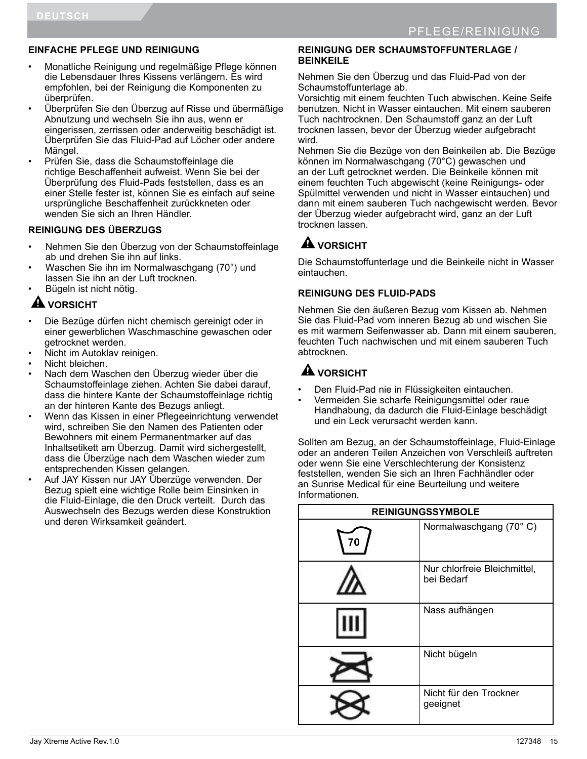#### <span id="page-11-0"></span>**EINFACHE PFLEGE UND REINIGUNG**

- Monatliche Reinigung und regelmäßige Pflege können die Lebensdauer Ihres Kissens verlängern. Es wird empfohlen, bei der Reinigung die Komponenten zu überprüfen.
- Überprüfen Sie den Überzug auf Risse und übermäßige Abnutzung und wechseln Sie ihn aus, wenn er eingerissen, zerrissen oder anderweitig beschädigt ist. Überprüfen Sie das Fluid-Pad auf Löcher oder andere Mängel.
- Prüfen Sie, dass die Schaumstoffeinlage die richtige Beschaffenheit aufweist. Wenn Sie bei der Überprüfung des Fluid-Pads feststellen, dass es an einer Stelle fester ist, können Sie es einfach auf seine ursprüngliche Beschaffenheit zurückkneten oder wenden Sie sich an Ihren Händler.

#### **REINIGUNG DES ÜBERZUGS**

- Nehmen Sie den Überzug von der Schaumstoffeinlage ab und drehen Sie ihn auf links.
- Waschen Sie ihn im Normalwaschgang (70°) und lassen Sie ihn an der Luft trocknen.
- Bügeln ist nicht nötig.

#### **A** VORSICHT

- Die Bezüge dürfen nicht chemisch gereinigt oder in einer gewerblichen Waschmaschine gewaschen oder getrocknet werden.
- Nicht im Autoklav reinigen.
- Nicht bleichen.
- Nach dem Waschen den Überzug wieder über die Schaumstoffeinlage ziehen. Achten Sie dabei darauf, dass die hintere Kante der Schaumstoffeinlage richtig an der hinteren Kante des Bezugs anliegt.
- Wenn das Kissen in einer Pflegeeinrichtung verwendet wird, schreiben Sie den Namen des Patienten oder Bewohners mit einem Permanentmarker auf das Inhaltsetikett am Überzug. Damit wird sichergestellt, dass die Überzüge nach dem Waschen wieder zum entsprechenden Kissen gelangen.
- Auf JAY Kissen nur JAY Überzüge verwenden. Der Bezug spielt eine wichtige Rolle beim Einsinken in die Fluid-Einlage, die den Druck verteilt. Durch das Auswechseln des Bezugs werden diese Konstruktion und deren Wirksamkeit geändert.

#### **REINIGUNG DER SCHAUMSTOFFUNTERLAGE / BEINKEILE**

Nehmen Sie den Überzug und das Fluid-Pad von der Schaumstoffunterlage ab.

Vorsichtig mit einem feuchten Tuch abwischen. Keine Seife benutzen. Nicht in Wasser eintauchen. Mit einem sauberen Tuch nachtrocknen. Den Schaumstoff ganz an der Luft trocknen lassen, bevor der Überzug wieder aufgebracht wird.

Nehmen Sie die Bezüge von den Beinkeilen ab. Die Bezüge können im Normalwaschgang (70°C) gewaschen und an der Luft getrocknet werden. Die Beinkeile können mit einem feuchten Tuch abgewischt (keine Reinigungs- oder Spülmittel verwenden und nicht in Wasser eintauchen) und dann mit einem sauberen Tuch nachgewischt werden. Bevor der Überzug wieder aufgebracht wird, ganz an der Luft trocknen lassen.

# **A** VORSICHT

Die Schaumstoffunterlage und die Beinkeile nicht in Wasser eintauchen.

#### **REINIGUNG DES FLUID-PADS**

Nehmen Sie den äußeren Bezug vom Kissen ab. Nehmen Sie das Fluid-Pad vom inneren Bezug ab und wischen Sie es mit warmem Seifenwasser ab. Dann mit einem sauberen, feuchten Tuch nachwischen und mit einem sauberen Tuch abtrocknen.

# **A** VORSICHT

- Den Fluid-Pad nie in Flüssigkeiten eintauchen.
- Vermeiden Sie scharfe Reinigungsmittel oder raue Handhabung, da dadurch die Fluid-Einlage beschädigt und ein Leck verursacht werden kann.

Sollten am Bezug, an der Schaumstoffeinlage, Fluid-Einlage oder an anderen Teilen Anzeichen von Verschleiß auftreten oder wenn Sie eine Verschlechterung der Konsistenz feststellen, wenden Sie sich an Ihren Fachhändler oder an Sunrise Medical für eine Beurteilung und weitere Informationen.

| <b>REINIGUNGSSYMBOLE</b> |                                            |  |  |  |  |  |
|--------------------------|--------------------------------------------|--|--|--|--|--|
| 70                       | Normalwaschgang (70°C)                     |  |  |  |  |  |
|                          | Nur chlorfreie Bleichmittel,<br>bei Bedarf |  |  |  |  |  |
|                          | Nass aufhängen                             |  |  |  |  |  |
|                          | Nicht bügeln                               |  |  |  |  |  |
|                          | Nicht für den Trockner<br>geeignet         |  |  |  |  |  |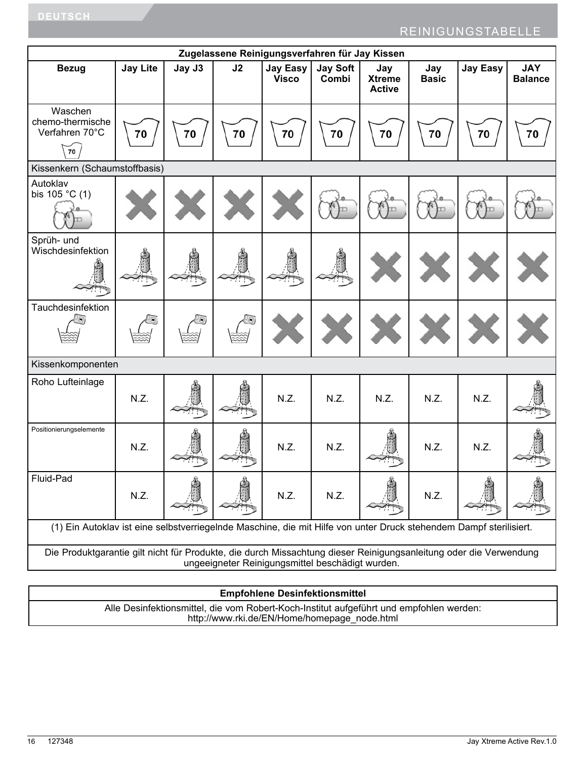# REINIGUNGSTABELLE

<span id="page-12-0"></span>

|                                                                                                                    | Zugelassene Reinigungsverfahren für Jay Kissen                                                                                                                        |        |    |                                 |                          |                                       |                     |                 |                              |
|--------------------------------------------------------------------------------------------------------------------|-----------------------------------------------------------------------------------------------------------------------------------------------------------------------|--------|----|---------------------------------|--------------------------|---------------------------------------|---------------------|-----------------|------------------------------|
| <b>Bezug</b>                                                                                                       | <b>Jay Lite</b>                                                                                                                                                       | Jay J3 | J2 | <b>Jay Easy</b><br><b>Visco</b> | <b>Jay Soft</b><br>Combi | Jay<br><b>Xtreme</b><br><b>Active</b> | Jay<br><b>Basic</b> | <b>Jay Easy</b> | <b>JAY</b><br><b>Balance</b> |
| Waschen<br>chemo-thermische<br>Verfahren 70°C<br>70                                                                | 70                                                                                                                                                                    | 70     | 70 | 70                              | 70                       | 70                                    | 70                  | 70              | 70                           |
| Kissenkern (Schaumstoffbasis)                                                                                      |                                                                                                                                                                       |        |    |                                 |                          |                                       |                     |                 |                              |
| Autoklav<br>bis $105 °C(1)$                                                                                        |                                                                                                                                                                       |        |    |                                 |                          |                                       |                     |                 |                              |
| Sprüh- und<br>Wischdesinfektion                                                                                    |                                                                                                                                                                       |        |    |                                 |                          |                                       |                     |                 |                              |
| Tauchdesinfektion                                                                                                  |                                                                                                                                                                       |        |    |                                 |                          |                                       |                     |                 |                              |
| Kissenkomponenten                                                                                                  |                                                                                                                                                                       |        |    |                                 |                          |                                       |                     |                 |                              |
| Roho Lufteinlage                                                                                                   | N.Z.                                                                                                                                                                  |        |    | N.Z.                            | N.Z.                     | N.Z.                                  | N.Z.                | N.Z.            |                              |
| Positionierungselemente                                                                                            | N.Z.                                                                                                                                                                  |        |    | N.Z.                            | N.Z.                     |                                       | N.Z.                | N.Z.            |                              |
| Fluid-Pad                                                                                                          | N.Z.                                                                                                                                                                  |        |    | N.Z.                            | N.Z.                     |                                       | N.Z.                | $\circ$         |                              |
| (1) Ein Autoklav ist eine selbstverriegelnde Maschine, die mit Hilfe von unter Druck stehendem Dampf sterilisiert. |                                                                                                                                                                       |        |    |                                 |                          |                                       |                     |                 |                              |
|                                                                                                                    | Die Produktgarantie gilt nicht für Produkte, die durch Missachtung dieser Reinigungsanleitung oder die Verwendung<br>ungeeigneter Reinigungsmittel beschädigt wurden. |        |    |                                 |                          |                                       |                     |                 |                              |

#### **Empfohlene Desinfektionsmittel**

Alle Desinfektionsmittel, die vom Robert-Koch-Institut aufgeführt und empfohlen werden: http://www.rki.de/EN/Home/homepage\_node.html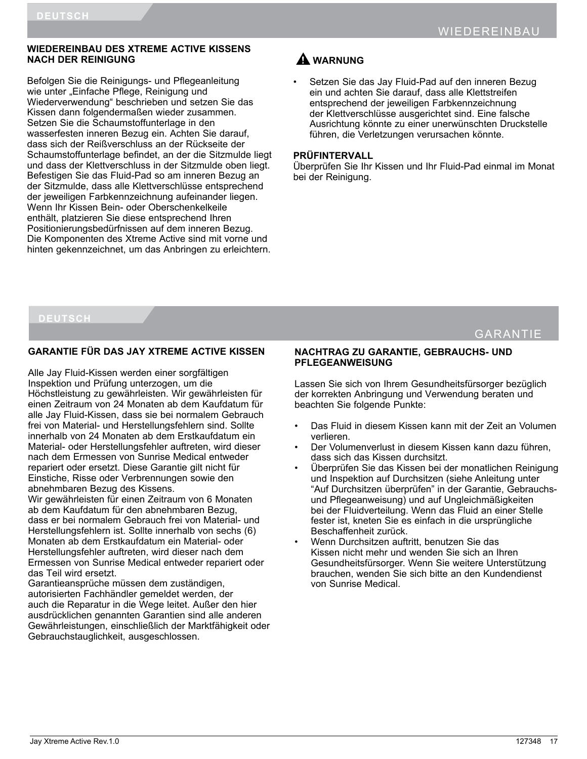#### <span id="page-13-0"></span>**WIEDEREINBAU DES XTREME ACTIVE KISSENS NACH DER REINIGUNG**

Befolgen Sie die Reinigungs- und Pflegeanleitung wie unter "Einfache Pflege, Reinigung und Wiederverwendung" beschrieben und setzen Sie das Kissen dann folgendermaßen wieder zusammen. Setzen Sie die Schaumstoffunterlage in den wasserfesten inneren Bezug ein. Achten Sie darauf, dass sich der Reißverschluss an der Rückseite der Schaumstoffunterlage befindet, an der die Sitzmulde liegt und dass der Klettverschluss in der Sitzmulde oben liegt. Befestigen Sie das Fluid-Pad so am inneren Bezug an der Sitzmulde, dass alle Klettverschlüsse entsprechend der jeweiligen Farbkennzeichnung aufeinander liegen. Wenn Ihr Kissen Bein- oder Oberschenkelkeile enthält, platzieren Sie diese entsprechend Ihren Positionierungsbedürfnissen auf dem inneren Bezug. Die Komponenten des Xtreme Active sind mit vorne und hinten gekennzeichnet, um das Anbringen zu erleichtern.

# **WARNUNG**

• Setzen Sie das Jay Fluid-Pad auf den inneren Bezug ein und achten Sie darauf, dass alle Klettstreifen entsprechend der jeweiligen Farbkennzeichnung der Klettverschlüsse ausgerichtet sind. Eine falsche Ausrichtung könnte zu einer unerwünschten Druckstelle führen, die Verletzungen verursachen könnte.

#### **PRÜFINTERVALL**

Überprüfen Sie Ihr Kissen und Ihr Fluid-Pad einmal im Monat bei der Reinigung.

### **DEUTSCH**

#### **GARANTIE FÜR DAS JAY XTREME ACTIVE KISSEN**

Alle Jay Fluid-Kissen werden einer sorgfältigen Inspektion und Prüfung unterzogen, um die Höchstleistung zu gewährleisten. Wir gewährleisten für einen Zeitraum von 24 Monaten ab dem Kaufdatum für alle Jay Fluid-Kissen, dass sie bei normalem Gebrauch frei von Material- und Herstellungsfehlern sind. Sollte innerhalb von 24 Monaten ab dem Erstkaufdatum ein Material- oder Herstellungsfehler auftreten, wird dieser nach dem Ermessen von Sunrise Medical entweder repariert oder ersetzt. Diese Garantie gilt nicht für Einstiche, Risse oder Verbrennungen sowie den abnehmbaren Bezug des Kissens.

Wir gewährleisten für einen Zeitraum von 6 Monaten ab dem Kaufdatum für den abnehmbaren Bezug, dass er bei normalem Gebrauch frei von Material- und Herstellungsfehlern ist. Sollte innerhalb von sechs (6) Monaten ab dem Erstkaufdatum ein Material- oder Herstellungsfehler auftreten, wird dieser nach dem Ermessen von Sunrise Medical entweder repariert oder das Teil wird ersetzt.

Garantieansprüche müssen dem zuständigen, autorisierten Fachhändler gemeldet werden, der auch die Reparatur in die Wege leitet. Außer den hier ausdrücklichen genannten Garantien sind alle anderen Gewährleistungen, einschließlich der Marktfähigkeit oder Gebrauchstauglichkeit, ausgeschlossen.

# GARANTIE

#### **NACHTRAG ZU GARANTIE, GEBRAUCHS- UND PFLEGEANWEISUNG**

Lassen Sie sich von Ihrem Gesundheitsfürsorger bezüglich der korrekten Anbringung und Verwendung beraten und beachten Sie folgende Punkte:

- Das Fluid in diesem Kissen kann mit der Zeit an Volumen verlieren.
- Der Volumenverlust in diesem Kissen kann dazu führen, dass sich das Kissen durchsitzt.
- Überprüfen Sie das Kissen bei der monatlichen Reinigung und Inspektion auf Durchsitzen (siehe Anleitung unter "Auf Durchsitzen überprüfen" in der Garantie, Gebrauchsund Pflegeanweisung) und auf Ungleichmäßigkeiten bei der Fluidverteilung. Wenn das Fluid an einer Stelle fester ist, kneten Sie es einfach in die ursprüngliche Beschaffenheit zurück.
- Wenn Durchsitzen auftritt, benutzen Sie das Kissen nicht mehr und wenden Sie sich an Ihren Gesundheitsfürsorger. Wenn Sie weitere Unterstützung brauchen, wenden Sie sich bitte an den Kundendienst von Sunrise Medical.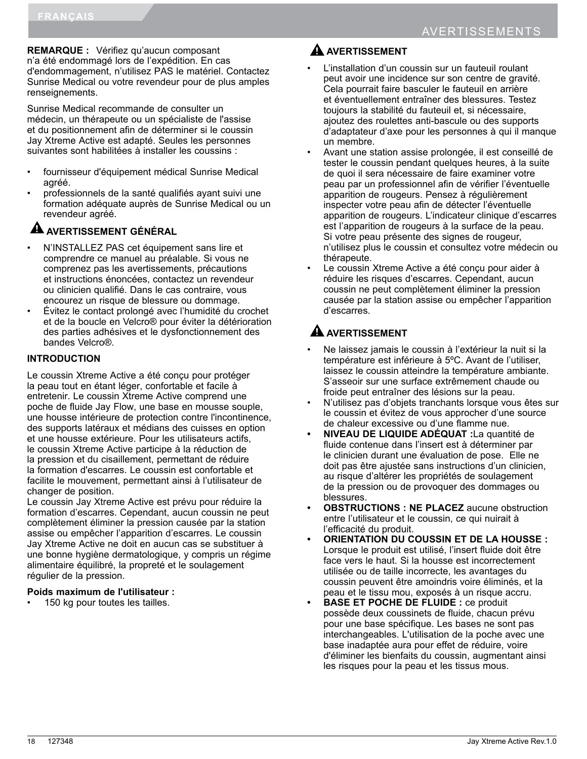<span id="page-14-0"></span>**REMARQUE :** Vérifiez qu'aucun composant n'a été endommagé lors de l'expédition. En cas d'endommagement, n'utilisez PAS le matériel. Contactez Sunrise Medical ou votre revendeur pour de plus amples renseignements.

Sunrise Medical recommande de consulter un médecin, un thérapeute ou un spécialiste de l'assise et du positionnement afin de déterminer si le coussin Jay Xtreme Active est adapté. Seules les personnes suivantes sont habilitées à installer les coussins :

- fournisseur d'équipement médical Sunrise Medical agréé.
- professionnels de la santé qualifiés ayant suivi une formation adéquate auprès de Sunrise Medical ou un revendeur agréé.

# **AVERTISSEMENT GÉNÉRAL**

- N'INSTALLEZ PAS cet équipement sans lire et comprendre ce manuel au préalable. Si vous ne comprenez pas les avertissements, précautions et instructions énoncées, contactez un revendeur ou clinicien qualifié. Dans le cas contraire, vous encourez un risque de blessure ou dommage.
- Évitez le contact prolongé avec l'humidité du crochet et de la boucle en Velcro® pour éviter la détérioration des parties adhésives et le dysfonctionnement des bandes Velcro®.

#### **INTRODUCTION**

Le coussin Xtreme Active a été conçu pour protéger la peau tout en étant léger, confortable et facile à entretenir. Le coussin Xtreme Active comprend une poche de fluide Jay Flow, une base en mousse souple, une housse intérieure de protection contre l'incontinence, des supports latéraux et médians des cuisses en option et une housse extérieure. Pour les utilisateurs actifs, le coussin Xtreme Active participe à la réduction de la pression et du cisaillement, permettant de réduire la formation d'escarres. Le coussin est confortable et facilite le mouvement, permettant ainsi à l'utilisateur de changer de position.

Le coussin Jay Xtreme Active est prévu pour réduire la formation d'escarres. Cependant, aucun coussin ne peut complètement éliminer la pression causée par la station assise ou empêcher l'apparition d'escarres. Le coussin Jay Xtreme Active ne doit en aucun cas se substituer à une bonne hygiène dermatologique, y compris un régime alimentaire équilibré, la propreté et le soulagement régulier de la pression.

#### **Poids maximum de l'utilisateur :**

150 kg pour toutes les tailles.

# **A** AVERTISSEMENT

- L'installation d'un coussin sur un fauteuil roulant peut avoir une incidence sur son centre de gravité. Cela pourrait faire basculer le fauteuil en arrière et éventuellement entraîner des blessures. Testez toujours la stabilité du fauteuil et, si nécessaire, ajoutez des roulettes anti-bascule ou des supports d'adaptateur d'axe pour les personnes à qui il manque un membre.
- Avant une station assise prolongée, il est conseillé de tester le coussin pendant quelques heures, à la suite de quoi il sera nécessaire de faire examiner votre peau par un professionnel afin de vérifier l'éventuelle apparition de rougeurs. Pensez à régulièrement inspecter votre peau afin de détecter l'éventuelle apparition de rougeurs. L'indicateur clinique d'escarres est l'apparition de rougeurs à la surface de la peau. Si votre peau présente des signes de rougeur, n'utilisez plus le coussin et consultez votre médecin ou thérapeute.
- Le coussin Xtreme Active a été conçu pour aider à réduire les risques d'escarres. Cependant, aucun coussin ne peut complètement éliminer la pression causée par la station assise ou empêcher l'apparition d'escarres.

# **A** AVERTISSEMENT

- Ne laissez jamais le coussin à l'extérieur la nuit si la température est inférieure à 5ºC. Avant de l'utiliser, laissez le coussin atteindre la température ambiante. S'asseoir sur une surface extrêmement chaude ou froide peut entraîner des lésions sur la peau.
- N'utilisez pas d'objets tranchants lorsque vous êtes sur le coussin et évitez de vous approcher d'une source de chaleur excessive ou d'une flamme nue.
- **• NIVEAU DE LIQUIDE ADÉQUAT :**La quantité de fluide contenue dans l'insert est à déterminer par le clinicien durant une évaluation de pose. Elle ne doit pas être ajustée sans instructions d'un clinicien, au risque d'altérer les propriétés de soulagement de la pression ou de provoquer des dommages ou blessures.
- **• OBSTRUCTIONS : NE PLACEZ** aucune obstruction entre l'utilisateur et le coussin, ce qui nuirait à l'efficacité du produit.
- **• ORIENTATION DU COUSSIN ET DE LA HOUSSE :** Lorsque le produit est utilisé, l'insert fluide doit être face vers le haut. Si la housse est incorrectement utilisée ou de taille incorrecte, les avantages du coussin peuvent être amoindris voire éliminés, et la peau et le tissu mou, exposés à un risque accru.
- **• BASE ET POCHE DE FLUIDE :** ce produit possède deux coussinets de fluide, chacun prévu pour une base spécifique. Les bases ne sont pas interchangeables. L'utilisation de la poche avec une base inadaptée aura pour effet de réduire, voire d'éliminer les bienfaits du coussin, augmentant ainsi les risques pour la peau et les tissus mous.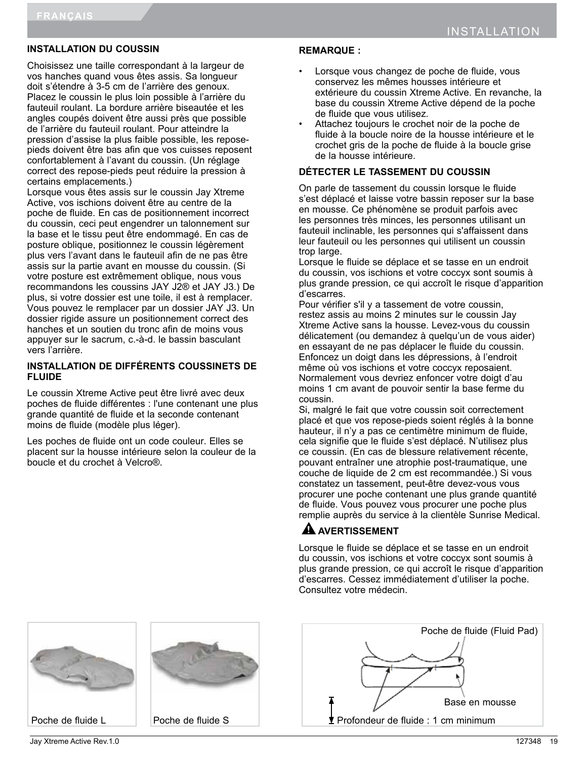#### <span id="page-15-0"></span>**INSTALLATION DU COUSSIN**

Choisissez une taille correspondant à la largeur de vos hanches quand vous êtes assis. Sa longueur doit s'étendre à 3-5 cm de l'arrière des genoux. Placez le coussin le plus loin possible à l'arrière du fauteuil roulant. La bordure arrière biseautée et les angles coupés doivent être aussi près que possible de l'arrière du fauteuil roulant. Pour atteindre la pression d'assise la plus faible possible, les reposepieds doivent être bas afin que vos cuisses reposent confortablement à l'avant du coussin. (Un réglage correct des repose-pieds peut réduire la pression à certains emplacements.)

Lorsque vous êtes assis sur le coussin Jay Xtreme Active, vos ischions doivent être au centre de la poche de fluide. En cas de positionnement incorrect du coussin, ceci peut engendrer un talonnement sur la base et le tissu peut être endommagé. En cas de posture oblique, positionnez le coussin légèrement plus vers l'avant dans le fauteuil afin de ne pas être assis sur la partie avant en mousse du coussin. (Si votre posture est extrêmement oblique, nous vous recommandons les coussins JAY J2® et JAY J3.) De plus, si votre dossier est une toile, il est à remplacer. Vous pouvez le remplacer par un dossier JAY J3. Un dossier rigide assure un positionnement correct des hanches et un soutien du tronc afin de moins vous appuyer sur le sacrum, c.-à-d. le bassin basculant vers l'arrière.

#### **INSTALLATION DE DIFFÉRENTS COUSSINETS DE FLUIDE**

Le coussin Xtreme Active peut être livré avec deux poches de fluide différentes : l'une contenant une plus grande quantité de fluide et la seconde contenant moins de fluide (modèle plus léger).

Les poches de fluide ont un code couleur. Elles se placent sur la housse intérieure selon la couleur de la boucle et du crochet à Velcro®.

#### **REMARQUE :**

- Lorsque vous changez de poche de fluide, vous conservez les mêmes housses intérieure et extérieure du coussin Xtreme Active. En revanche, la base du coussin Xtreme Active dépend de la poche de fluide que vous utilisez.
- Attachez toujours le crochet noir de la poche de fluide à la boucle noire de la housse intérieure et le crochet gris de la poche de fluide à la boucle grise de la housse intérieure.

#### **DÉTECTER LE TASSEMENT DU COUSSIN**

On parle de tassement du coussin lorsque le fluide s'est déplacé et laisse votre bassin reposer sur la base en mousse. Ce phénomène se produit parfois avec les personnes très minces, les personnes utilisant un fauteuil inclinable, les personnes qui s'affaissent dans leur fauteuil ou les personnes qui utilisent un coussin trop large.

Lorsque le fluide se déplace et se tasse en un endroit du coussin, vos ischions et votre coccyx sont soumis à plus grande pression, ce qui accroît le risque d'apparition d'escarres.

Pour vérifier s'il y a tassement de votre coussin, restez assis au moins 2 minutes sur le coussin Jay Xtreme Active sans la housse. Levez-vous du coussin délicatement (ou demandez à quelqu'un de vous aider) en essayant de ne pas déplacer le fluide du coussin. Enfoncez un doigt dans les dépressions, à l'endroit même où vos ischions et votre coccyx reposaient. Normalement vous devriez enfoncer votre doigt d'au moins 1 cm avant de pouvoir sentir la base ferme du coussin.

Si, malgré le fait que votre coussin soit correctement placé et que vos repose-pieds soient réglés à la bonne hauteur, il n'y a pas ce centimètre minimum de fluide, cela signifie que le fluide s'est déplacé. N'utilisez plus ce coussin. (En cas de blessure relativement récente, pouvant entraîner une atrophie post-traumatique, une couche de liquide de 2 cm est recommandée.) Si vous constatez un tassement, peut-être devez-vous vous procurer une poche contenant une plus grande quantité de fluide. Vous pouvez vous procurer une poche plus remplie auprès du service à la clientèle Sunrise Medical.

### **A** AVERTISSEMENT

Lorsque le fluide se déplace et se tasse en un endroit du coussin, vos ischions et votre coccyx sont soumis à plus grande pression, ce qui accroît le risque d'apparition d'escarres. Cessez immédiatement d'utiliser la poche. Consultez votre médecin.





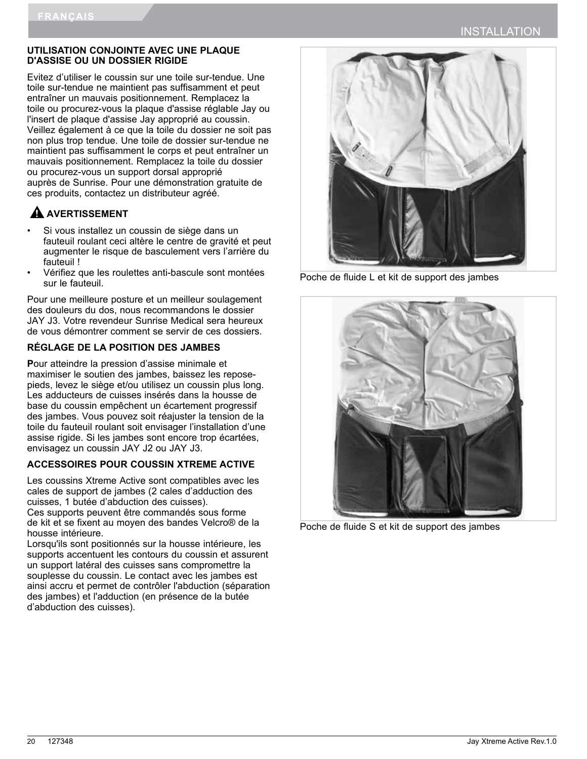#### INSTALLATION

#### **UTILISATION CONJOINTE AVEC UNE PLAQUE D'ASSISE OU UN DOSSIER RIGIDE**

Evitez d'utiliser le coussin sur une toile sur-tendue. Une toile sur-tendue ne maintient pas suffisamment et peut entraîner un mauvais positionnement. Remplacez la toile ou procurez-vous la plaque d'assise réglable Jay ou l'insert de plaque d'assise Jay approprié au coussin. Veillez également à ce que la toile du dossier ne soit pas non plus trop tendue. Une toile de dossier sur-tendue ne maintient pas suffisamment le corps et peut entraîner un mauvais positionnement. Remplacez la toile du dossier ou procurez-vous un support dorsal approprié auprès de Sunrise. Pour une démonstration gratuite de ces produits, contactez un distributeur agréé.

# **A** AVERTISSEMENT

- Si vous installez un coussin de siège dans un fauteuil roulant ceci altère le centre de gravité et peut augmenter le risque de basculement vers l'arrière du fauteuil !
- Vérifiez que les roulettes anti-bascule sont montées sur le fauteuil.

Pour une meilleure posture et un meilleur soulagement des douleurs du dos, nous recommandons le dossier JAY J3. Votre revendeur Sunrise Medical sera heureux de vous démontrer comment se servir de ces dossiers.

#### **RÉGLAGE DE LA POSITION DES JAMBES**

**P**our atteindre la pression d'assise minimale et maximiser le soutien des jambes, baissez les reposepieds, levez le siège et/ou utilisez un coussin plus long. Les adducteurs de cuisses insérés dans la housse de base du coussin empêchent un écartement progressif des jambes. Vous pouvez soit réajuster la tension de la toile du fauteuil roulant soit envisager l'installation d'une assise rigide. Si les jambes sont encore trop écartées, envisagez un coussin JAY J2 ou JAY J3.

#### **ACCESSOIRES POUR COUSSIN XTREME ACTIVE**

Les coussins Xtreme Active sont compatibles avec les cales de support de jambes (2 cales d'adduction des cuisses, 1 butée d'abduction des cuisses).

Ces supports peuvent être commandés sous forme de kit et se fixent au moyen des bandes Velcro® de la housse intérieure.

Lorsqu'ils sont positionnés sur la housse intérieure, les supports accentuent les contours du coussin et assurent un support latéral des cuisses sans compromettre la souplesse du coussin. Le contact avec les jambes est ainsi accru et permet de contrôler l'abduction (séparation des jambes) et l'adduction (en présence de la butée d'abduction des cuisses).



Poche de fluide L et kit de support des jambes



Poche de fluide S et kit de support des jambes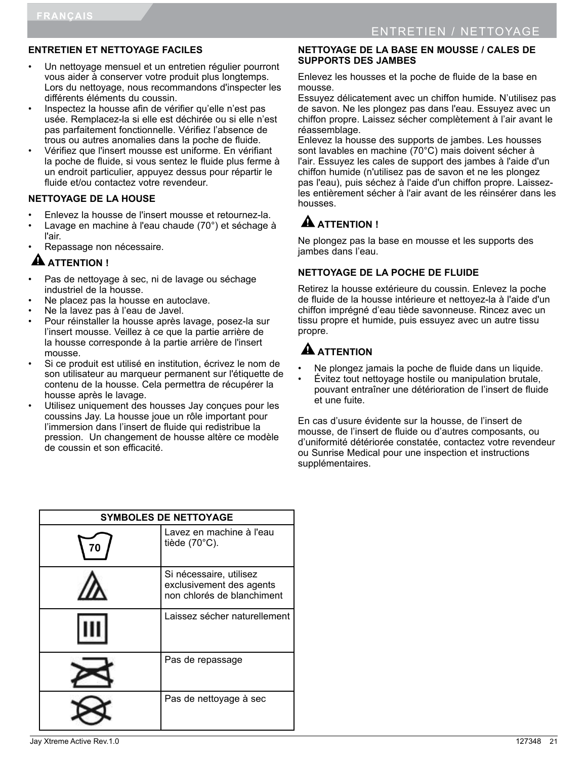#### <span id="page-17-0"></span>**ENTRETIEN ET NETTOYAGE FACILES**

- Un nettoyage mensuel et un entretien régulier pourront vous aider à conserver votre produit plus longtemps. Lors du nettoyage, nous recommandons d'inspecter les différents éléments du coussin.
- Inspectez la housse afin de vérifier qu'elle n'est pas usée. Remplacez-la si elle est déchirée ou si elle n'est pas parfaitement fonctionnelle. Vérifiez l'absence de trous ou autres anomalies dans la poche de fluide.
- Vérifiez que l'insert mousse est uniforme. En vérifiant la poche de fluide, si vous sentez le fluide plus ferme à un endroit particulier, appuyez dessus pour répartir le fluide et/ou contactez votre revendeur.

#### **NETTOYAGE DE LA HOUSE**

- Enlevez la housse de l'insert mousse et retournez-la.
- Lavage en machine à l'eau chaude (70°) et séchage à l'air.
- Repassage non nécessaire.

# **ATTENTION !**

- Pas de nettoyage à sec, ni de lavage ou séchage industriel de la housse.
- Ne placez pas la housse en autoclave.
- Ne la lavez pas à l'eau de Javel.
- Pour réinstaller la housse après lavage, posez-la sur l'insert mousse. Veillez à ce que la partie arrière de la housse corresponde à la partie arrière de l'insert mousse.
- Si ce produit est utilisé en institution, écrivez le nom de son utilisateur au marqueur permanent sur l'étiquette de contenu de la housse. Cela permettra de récupérer la housse après le lavage.
- Utilisez uniquement des housses Jay conçues pour les coussins Jay. La housse joue un rôle important pour l'immersion dans l'insert de fluide qui redistribue la pression. Un changement de housse altère ce modèle de coussin et son efficacité.

#### **NETTOYAGE DE LA BASE EN MOUSSE / CALES DE SUPPORTS DES JAMBES**

Enlevez les housses et la poche de fluide de la base en mousse.

Essuyez délicatement avec un chiffon humide. N'utilisez pas de savon. Ne les plongez pas dans l'eau. Essuyez avec un chiffon propre. Laissez sécher complètement à l'air avant le réassemblage.

Enlevez la housse des supports de jambes. Les housses sont lavables en machine (70°C) mais doivent sécher à l'air. Essuyez les cales de support des jambes à l'aide d'un chiffon humide (n'utilisez pas de savon et ne les plongez pas l'eau), puis séchez à l'aide d'un chiffon propre. Laissezles entièrement sécher à l'air avant de les réinsérer dans les housses.

# **ATTENTION !**

Ne plongez pas la base en mousse et les supports des jambes dans l'eau.

#### **NETTOYAGE DE LA POCHE DE FLUIDE**

Retirez la housse extérieure du coussin. Enlevez la poche de fluide de la housse intérieure et nettoyez-la à l'aide d'un chiffon imprégné d'eau tiède savonneuse. Rincez avec un tissu propre et humide, puis essuyez avec un autre tissu propre.

# **A** ATTENTION

- Ne plongez jamais la poche de fluide dans un liquide.
- Évitez tout nettoyage hostile ou manipulation brutale, pouvant entraîner une détérioration de l'insert de fluide et une fuite.

En cas d'usure évidente sur la housse, de l'insert de mousse, de l'insert de fluide ou d'autres composants, ou d'uniformité détériorée constatée, contactez votre revendeur ou Sunrise Medical pour une inspection et instructions supplémentaires.

| <b>SYMBOLES DE NETTOYAGE</b> |                                                                                   |  |  |  |  |  |
|------------------------------|-----------------------------------------------------------------------------------|--|--|--|--|--|
| 70                           | Lavez en machine à l'eau<br>tiède $(70^{\circ}C)$ .                               |  |  |  |  |  |
|                              | Si nécessaire, utilisez<br>exclusivement des agents<br>non chlorés de blanchiment |  |  |  |  |  |
|                              | Laissez sécher naturellement                                                      |  |  |  |  |  |
|                              | Pas de repassage                                                                  |  |  |  |  |  |
|                              | Pas de nettoyage à sec                                                            |  |  |  |  |  |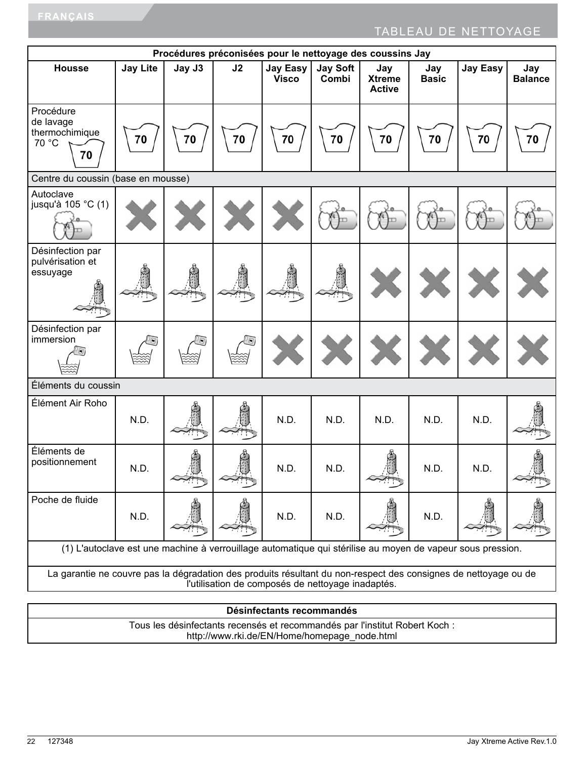# TABLEAU DE NETTOYAGE

<span id="page-18-0"></span>

|                                                                                                            | Procédures préconisées pour le nettoyage des coussins Jay                                                                                                            |                        |    |                                 |                          |                                       |                     |                 |                       |
|------------------------------------------------------------------------------------------------------------|----------------------------------------------------------------------------------------------------------------------------------------------------------------------|------------------------|----|---------------------------------|--------------------------|---------------------------------------|---------------------|-----------------|-----------------------|
| <b>Housse</b>                                                                                              | <b>Jay Lite</b>                                                                                                                                                      | Jay J3                 | J2 | <b>Jay Easy</b><br><b>Visco</b> | <b>Jay Soft</b><br>Combi | Jay<br><b>Xtreme</b><br><b>Active</b> | Jay<br><b>Basic</b> | <b>Jay Easy</b> | Jay<br><b>Balance</b> |
| Procédure<br>de lavage<br>thermochimique<br>70 °C<br>70                                                    | 70                                                                                                                                                                   | 70                     | 70 | 70                              | 70                       | 70                                    | 70                  | 70              | 70                    |
| Centre du coussin (base en mousse)                                                                         |                                                                                                                                                                      |                        |    |                                 |                          |                                       |                     |                 |                       |
| Autoclave<br>jusqu'à 105 °C (1)                                                                            |                                                                                                                                                                      |                        |    |                                 |                          |                                       |                     |                 |                       |
| Désinfection par<br>pulvérisation et<br>essuyage                                                           |                                                                                                                                                                      |                        |    |                                 |                          |                                       |                     |                 |                       |
| Désinfection par<br>immersion                                                                              |                                                                                                                                                                      | $\left  \cdot \right $ |    |                                 |                          |                                       |                     |                 |                       |
| Éléments du coussin                                                                                        |                                                                                                                                                                      |                        |    |                                 |                          |                                       |                     |                 |                       |
| Élément Air Roho                                                                                           | N.D.                                                                                                                                                                 |                        |    | N.D.                            | N.D.                     | N.D.                                  | N.D.                | N.D.            |                       |
| Éléments de<br>positionnement                                                                              | N.D.                                                                                                                                                                 |                        |    | N.D.                            | N.D.                     |                                       | N.D.                | N.D.            |                       |
| Poche de fluide                                                                                            | N.D.                                                                                                                                                                 |                        |    | N.D.                            | N.D.                     |                                       | N.D.                |                 |                       |
| (1) L'autoclave est une machine à verrouillage automatique qui stérilise au moyen de vapeur sous pression. |                                                                                                                                                                      |                        |    |                                 |                          |                                       |                     |                 |                       |
|                                                                                                            | La garantie ne couvre pas la dégradation des produits résultant du non-respect des consignes de nettoyage ou de<br>l'utilisation de composés de nettoyage inadaptés. |                        |    |                                 |                          |                                       |                     |                 |                       |

#### **Désinfectants recommandés**

Tous les désinfectants recensés et recommandés par l'institut Robert Koch : http://www.rki.de/EN/Home/homepage\_node.html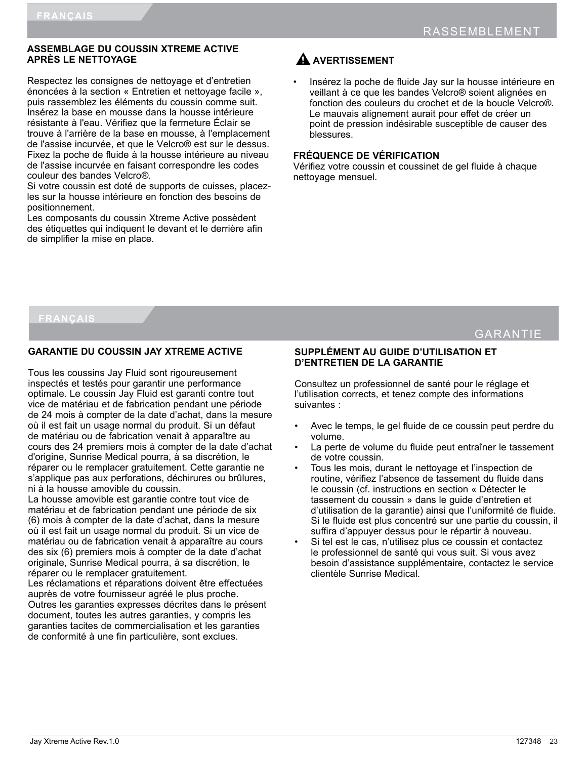GARANTIE

#### <span id="page-19-0"></span>**ASSEMBLAGE DU COUSSIN XTREME ACTIVE APRÈS LE NETTOYAGE**

Respectez les consignes de nettoyage et d'entretien énoncées à la section « Entretien et nettoyage facile », puis rassemblez les éléments du coussin comme suit. Insérez la base en mousse dans la housse intérieure résistante à l'eau. Vérifiez que la fermeture Éclair se trouve à l'arrière de la base en mousse, à l'emplacement de l'assise incurvée, et que le Velcro® est sur le dessus. Fixez la poche de fluide à la housse intérieure au niveau de l'assise incurvée en faisant correspondre les codes couleur des bandes Velcro®.

Si votre coussin est doté de supports de cuisses, placezles sur la housse intérieure en fonction des besoins de positionnement.

Les composants du coussin Xtreme Active possèdent des étiquettes qui indiquent le devant et le derrière afin de simplifier la mise en place.

# **A** AVERTISSEMENT

• Insérez la poche de fluide Jay sur la housse intérieure en veillant à ce que les bandes Velcro® soient alignées en fonction des couleurs du crochet et de la boucle Velcro®. Le mauvais alignement aurait pour effet de créer un point de pression indésirable susceptible de causer des blessures.

#### **FRÉQUENCE DE VÉRIFICATION**

Vérifiez votre coussin et coussinet de gel fluide à chaque nettoyage mensuel.

# **FRANÇAIS**

#### **GARANTIE DU COUSSIN JAY XTREME ACTIVE**

Tous les coussins Jay Fluid sont rigoureusement inspectés et testés pour garantir une performance optimale. Le coussin Jay Fluid est garanti contre tout vice de matériau et de fabrication pendant une période de 24 mois à compter de la date d'achat, dans la mesure où il est fait un usage normal du produit. Si un défaut de matériau ou de fabrication venait à apparaître au cours des 24 premiers mois à compter de la date d'achat d'origine, Sunrise Medical pourra, à sa discrétion, le réparer ou le remplacer gratuitement. Cette garantie ne s'applique pas aux perforations, déchirures ou brûlures, ni à la housse amovible du coussin.

La housse amovible est garantie contre tout vice de matériau et de fabrication pendant une période de six (6) mois à compter de la date d'achat, dans la mesure où il est fait un usage normal du produit. Si un vice de matériau ou de fabrication venait à apparaître au cours des six (6) premiers mois à compter de la date d'achat originale, Sunrise Medical pourra, à sa discrétion, le réparer ou le remplacer gratuitement.

Les réclamations et réparations doivent être effectuées auprès de votre fournisseur agréé le plus proche. Outres les garanties expresses décrites dans le présent document, toutes les autres garanties, y compris les garanties tacites de commercialisation et les garanties de conformité à une fin particulière, sont exclues.

#### **SUPPLÉMENT AU GUIDE D'UTILISATION ET D'ENTRETIEN DE LA GARANTIE**

Consultez un professionnel de santé pour le réglage et l'utilisation corrects, et tenez compte des informations suivantes :

- Avec le temps, le gel fluide de ce coussin peut perdre du volume.
- La perte de volume du fluide peut entraîner le tassement de votre coussin.
- Tous les mois, durant le nettoyage et l'inspection de routine, vérifiez l'absence de tassement du fluide dans le coussin (cf. instructions en section « Détecter le tassement du coussin » dans le guide d'entretien et d'utilisation de la garantie) ainsi que l'uniformité de fluide. Si le fluide est plus concentré sur une partie du coussin, il suffira d'appuyer dessus pour le répartir à nouveau.
- Si tel est le cas, n'utilisez plus ce coussin et contactez le professionnel de santé qui vous suit. Si vous avez besoin d'assistance supplémentaire, contactez le service clientèle Sunrise Medical.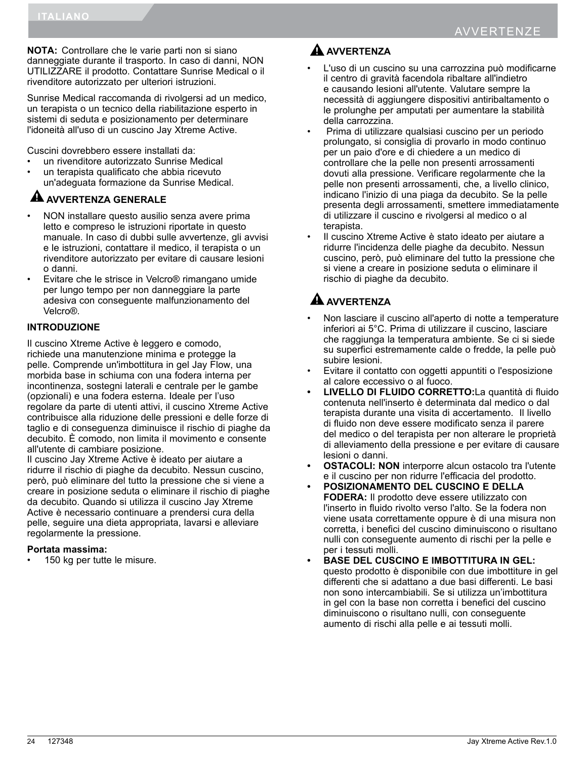<span id="page-20-0"></span>**NOTA:** Controllare che le varie parti non si siano danneggiate durante il trasporto. In caso di danni, NON UTILIZZARE il prodotto. Contattare Sunrise Medical o il rivenditore autorizzato per ulteriori istruzioni.

Sunrise Medical raccomanda di rivolgersi ad un medico, un terapista o un tecnico della riabilitazione esperto in sistemi di seduta e posizionamento per determinare l'idoneità all'uso di un cuscino Jay Xtreme Active.

Cuscini dovrebbero essere installati da:

- un rivenditore autorizzato Sunrise Medical
- un terapista qualificato che abbia ricevuto un'adeguata formazione da Sunrise Medical.

# **AVVERTENZA GENERALE**

- NON installare questo ausilio senza avere prima letto e compreso le istruzioni riportate in questo manuale. In caso di dubbi sulle avvertenze, gli avvisi e le istruzioni, contattare il medico, il terapista o un rivenditore autorizzato per evitare di causare lesioni o danni.
- Evitare che le strisce in Velcro® rimangano umide per lungo tempo per non danneggiare la parte adesiva con conseguente malfunzionamento del Velcro®.

#### **INTRODUZIONE**

Il cuscino Xtreme Active è leggero e comodo, richiede una manutenzione minima e protegge la pelle. Comprende un'imbottitura in gel Jay Flow, una morbida base in schiuma con una fodera interna per incontinenza, sostegni laterali e centrale per le gambe (opzionali) e una fodera esterna. Ideale per l'uso regolare da parte di utenti attivi, il cuscino Xtreme Active contribuisce alla riduzione delle pressioni e delle forze di taglio e di conseguenza diminuisce il rischio di piaghe da decubito. È comodo, non limita il movimento e consente all'utente di cambiare posizione.

Il cuscino Jay Xtreme Active è ideato per aiutare a ridurre il rischio di piaghe da decubito. Nessun cuscino, però, può eliminare del tutto la pressione che si viene a creare in posizione seduta o eliminare il rischio di piaghe da decubito. Quando si utilizza il cuscino Jay Xtreme Active è necessario continuare a prendersi cura della pelle, seguire una dieta appropriata, lavarsi e alleviare regolarmente la pressione.

#### **Portata massima:**

150 kg per tutte le misure.

# **A** AVVERTENZA

- L'uso di un cuscino su una carrozzina può modificarne il centro di gravità facendola ribaltare all'indietro e causando lesioni all'utente. Valutare sempre la necessità di aggiungere dispositivi antiribaltamento o le prolunghe per amputati per aumentare la stabilità della carrozzina.
- Prima di utilizzare qualsiasi cuscino per un periodo prolungato, si consiglia di provarlo in modo continuo per un paio d'ore e di chiedere a un medico di controllare che la pelle non presenti arrossamenti dovuti alla pressione. Verificare regolarmente che la pelle non presenti arrossamenti, che, a livello clinico, indicano l'inizio di una piaga da decubito. Se la pelle presenta degli arrossamenti, smettere immediatamente di utilizzare il cuscino e rivolgersi al medico o al terapista.
- Il cuscino Xtreme Active è stato ideato per aiutare a ridurre l'incidenza delle piaghe da decubito. Nessun cuscino, però, può eliminare del tutto la pressione che si viene a creare in posizione seduta o eliminare il rischio di piaghe da decubito.

# **A** AVVERTENZA

- Non lasciare il cuscino all'aperto di notte a temperature inferiori ai 5°C. Prima di utilizzare il cuscino, lasciare che raggiunga la temperatura ambiente. Se ci si siede su superfici estremamente calde o fredde, la pelle può subire lesioni.
- Evitare il contatto con oggetti appuntiti o l'esposizione al calore eccessivo o al fuoco.
- **• LIVELLO DI FLUIDO CORRETTO:**La quantità di fluido contenuta nell'inserto è determinata dal medico o dal terapista durante una visita di accertamento. Il livello di fluido non deve essere modificato senza il parere del medico o del terapista per non alterare le proprietà di alleviamento della pressione e per evitare di causare lesioni o danni.
- **• OSTACOLI: NON** interporre alcun ostacolo tra l'utente e il cuscino per non ridurre l'efficacia del prodotto.
- **• POSIZIONAMENTO DEL CUSCINO E DELLA FODERA:** Il prodotto deve essere utilizzato con l'inserto in fluido rivolto verso l'alto. Se la fodera non viene usata correttamente oppure è di una misura non corretta, i benefici del cuscino diminuiscono o risultano nulli con conseguente aumento di rischi per la pelle e per i tessuti molli.
- **• BASE DEL CUSCINO E IMBOTTITURA IN GEL:** questo prodotto è disponibile con due imbottiture in gel differenti che si adattano a due basi differenti. Le basi non sono intercambiabili. Se si utilizza un'imbottitura in gel con la base non corretta i benefici del cuscino diminuiscono o risultano nulli, con conseguente aumento di rischi alla pelle e ai tessuti molli.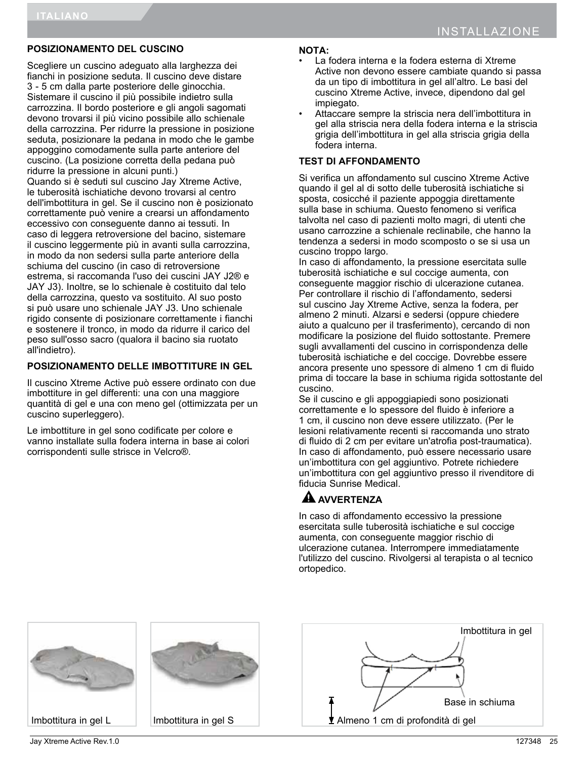<span id="page-21-0"></span>Scegliere un cuscino adeguato alla larghezza dei fianchi in posizione seduta. Il cuscino deve distare 3 - 5 cm dalla parte posteriore delle ginocchia. Sistemare il cuscino il più possibile indietro sulla carrozzina. Il bordo posteriore e gli angoli sagomati devono trovarsi il più vicino possibile allo schienale della carrozzina. Per ridurre la pressione in posizione seduta, posizionare la pedana in modo che le gambe appoggino comodamente sulla parte anteriore del cuscino. (La posizione corretta della pedana può ridurre la pressione in alcuni punti.) Quando si è seduti sul cuscino Jay Xtreme Active, le tuberosità ischiatiche devono trovarsi al centro dell'imbottitura in gel. Se il cuscino non è posizionato correttamente può venire a crearsi un affondamento eccessivo con conseguente danno ai tessuti. In caso di leggera retroversione del bacino, sistemare il cuscino leggermente più in avanti sulla carrozzina, in modo da non sedersi sulla parte anteriore della schiuma del cuscino (in caso di retroversione estrema, si raccomanda l'uso dei cuscini JAY J2® e JAY J3). Inoltre, se lo schienale è costituito dal telo della carrozzina, questo va sostituito. Al suo posto si può usare uno schienale JAY J3. Uno schienale rigido consente di posizionare correttamente i fianchi e sostenere il tronco, in modo da ridurre il carico del peso sull'osso sacro (qualora il bacino sia ruotato all'indietro).

#### **POSIZIONAMENTO DELLE IMBOTTITURE IN GEL**

Il cuscino Xtreme Active può essere ordinato con due imbottiture in gel differenti: una con una maggiore quantità di gel e una con meno gel (ottimizzata per un cuscino superleggero).

Le imbottiture in gel sono codificate per colore e vanno installate sulla fodera interna in base ai colori corrispondenti sulle strisce in Velcro®.

#### **NOTA:**

- INSTALLAZIONE
- La fodera interna e la fodera esterna di Xtreme Active non devono essere cambiate quando si passa da un tipo di imbottitura in gel all'altro. Le basi del cuscino Xtreme Active, invece, dipendono dal gel impiegato.
- Attaccare sempre la striscia nera dell'imbottitura in gel alla striscia nera della fodera interna e la striscia grigia dell'imbottitura in gel alla striscia grigia della fodera interna.

#### **TEST DI AFFONDAMENTO**

Si verifica un affondamento sul cuscino Xtreme Active quando il gel al di sotto delle tuberosità ischiatiche si sposta, cosicché il paziente appoggia direttamente sulla base in schiuma. Questo fenomeno si verifica talvolta nel caso di pazienti molto magri, di utenti che usano carrozzine a schienale reclinabile, che hanno la tendenza a sedersi in modo scomposto o se si usa un cuscino troppo largo.

In caso di affondamento, la pressione esercitata sulle tuberosità ischiatiche e sul coccige aumenta, con conseguente maggior rischio di ulcerazione cutanea. Per controllare il rischio di l'affondamento, sedersi sul cuscino Jay Xtreme Active, senza la fodera, per almeno 2 minuti. Alzarsi e sedersi (oppure chiedere aiuto a qualcuno per il trasferimento), cercando di non modificare la posizione del fluido sottostante. Premere sugli avvallamenti del cuscino in corrispondenza delle tuberosità ischiatiche e del coccige. Dovrebbe essere ancora presente uno spessore di almeno 1 cm di fluido prima di toccare la base in schiuma rigida sottostante del cuscino.

Se il cuscino e gli appoggiapiedi sono posizionati correttamente e lo spessore del fluido è inferiore a 1 cm, il cuscino non deve essere utilizzato. (Per le lesioni relativamente recenti si raccomanda uno strato di fluido di 2 cm per evitare un'atrofia post-traumatica). In caso di affondamento, può essere necessario usare un'imbottitura con gel aggiuntivo. Potrete richiedere un'imbottitura con gel aggiuntivo presso il rivenditore di fiducia Sunrise Medical.

# A **AVVERTENZA**

In caso di affondamento eccessivo la pressione esercitata sulle tuberosità ischiatiche e sul coccige aumenta, con conseguente maggior rischio di ulcerazione cutanea. Interrompere immediatamente l'utilizzo del cuscino. Rivolgersi al terapista o al tecnico ortopedico.

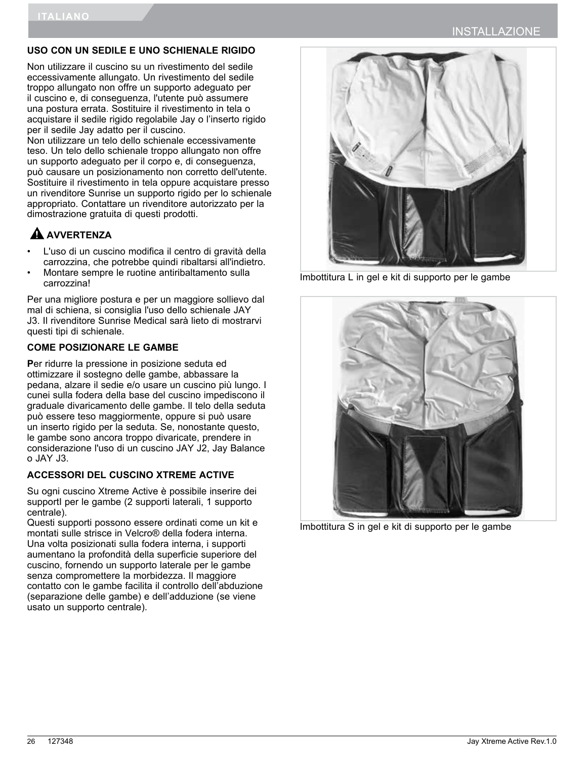#### **INSTALLAZIONE**

#### **USO CON UN SEDILE E UNO SCHIENALE RIGIDO**

Non utilizzare il cuscino su un rivestimento del sedile eccessivamente allungato. Un rivestimento del sedile troppo allungato non offre un supporto adeguato per il cuscino e, di conseguenza, l'utente può assumere una postura errata. Sostituire il rivestimento in tela o acquistare il sedile rigido regolabile Jay o l'inserto rigido per il sedile Jay adatto per il cuscino.

Non utilizzare un telo dello schienale eccessivamente teso. Un telo dello schienale troppo allungato non offre un supporto adeguato per il corpo e, di conseguenza, può causare un posizionamento non corretto dell'utente. Sostituire il rivestimento in tela oppure acquistare presso un rivenditore Sunrise un supporto rigido per lo schienale appropriato. Contattare un rivenditore autorizzato per la dimostrazione gratuita di questi prodotti.

# **A** AVVERTENZA

- L'uso di un cuscino modifica il centro di gravità della carrozzina, che potrebbe quindi ribaltarsi all'indietro.
- Montare sempre le ruotine antiribaltamento sulla carrozzina!

Per una migliore postura e per un maggiore sollievo dal mal di schiena, si consiglia l'uso dello schienale JAY J3. Il rivenditore Sunrise Medical sarà lieto di mostrarvi questi tipi di schienale.

#### **COME POSIZIONARE LE GAMBE**

**P**er ridurre la pressione in posizione seduta ed ottimizzare il sostegno delle gambe, abbassare la pedana, alzare il sedie e/o usare un cuscino più lungo. I cunei sulla fodera della base del cuscino impediscono il graduale divaricamento delle gambe. ll telo della seduta può essere teso maggiormente, oppure si può usare un inserto rigido per la seduta. Se, nonostante questo, le gambe sono ancora troppo divaricate, prendere in considerazione l'uso di un cuscino JAY J2, Jay Balance o JAY J3.

#### **ACCESSORI DEL CUSCINO XTREME ACTIVE**

Su ogni cuscino Xtreme Active è possibile inserire dei supportI per le gambe (2 supporti laterali, 1 supporto centrale).

Questi supporti possono essere ordinati come un kit e montati sulle strisce in Velcro® della fodera interna. Una volta posizionati sulla fodera interna, i supporti aumentano la profondità della superficie superiore del cuscino, fornendo un supporto laterale per le gambe senza compromettere la morbidezza. Il maggiore contatto con le gambe facilita il controllo dell'abduzione (separazione delle gambe) e dell'adduzione (se viene usato un supporto centrale).



Imbottitura L in gel e kit di supporto per le gambe

![](_page_22_Picture_16.jpeg)

Imbottitura S in gel e kit di supporto per le gambe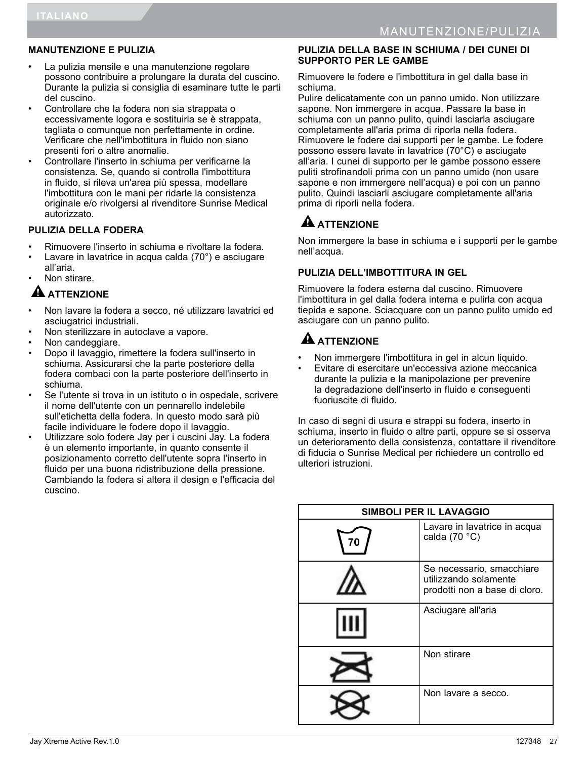#### <span id="page-23-0"></span>**MANUTENZIONE E PULIZIA**

- La pulizia mensile e una manutenzione regolare possono contribuire a prolungare la durata del cuscino. Durante la pulizia si consiglia di esaminare tutte le parti del cuscino.
- Controllare che la fodera non sia strappata o eccessivamente logora e sostituirla se è strappata, tagliata o comunque non perfettamente in ordine. Verificare che nell'imbottitura in fluido non siano presenti fori o altre anomalie.
- Controllare l'inserto in schiuma per verificarne la consistenza. Se, quando si controlla l'imbottitura in fluido, si rileva un'area più spessa, modellare l'imbottitura con le mani per ridarle la consistenza originale e/o rivolgersi al rivenditore Sunrise Medical autorizzato.

#### **PULIZIA DELLA FODERA**

- Rimuovere l'inserto in schiuma e rivoltare la fodera.
- Lavare in lavatrice in acqua calda (70°) e asciugare all'aria.
- Non stirare.

# **ALATTENZIONE**

- Non lavare la fodera a secco, né utilizzare lavatrici ed asciugatrici industriali.
- Non sterilizzare in autoclave a vapore.
- Non candeggiare.
- Dopo il lavaggio, rimettere la fodera sull'inserto in schiuma. Assicurarsi che la parte posteriore della fodera combaci con la parte posteriore dell'inserto in schiuma.
- Se l'utente si trova in un istituto o in ospedale, scrivere il nome dell'utente con un pennarello indelebile sull'etichetta della fodera. In questo modo sarà più facile individuare le fodere dopo il lavaggio.
- Utilizzare solo fodere Jay per i cuscini Jay. La fodera è un elemento importante, in quanto consente il posizionamento corretto dell'utente sopra l'inserto in fluido per una buona ridistribuzione della pressione. Cambiando la fodera si altera il design e l'efficacia del cuscino.

#### **PULIZIA DELLA BASE IN SCHIUMA / DEI CUNEI DI SUPPORTO PER LE GAMBE**

Rimuovere le fodere e l'imbottitura in gel dalla base in schiuma.

Pulire delicatamente con un panno umido. Non utilizzare sapone. Non immergere in acqua. Passare la base in schiuma con un panno pulito, quindi lasciarla asciugare completamente all'aria prima di riporla nella fodera. Rimuovere le fodere dai supporti per le gambe. Le fodere possono essere lavate in lavatrice (70°C) e asciugate all'aria. I cunei di supporto per le gambe possono essere puliti strofinandoli prima con un panno umido (non usare sapone e non immergere nell'acqua) e poi con un panno pulito. Quindi lasciarli asciugare completamente all'aria prima di riporli nella fodera.

# **A** ATTENZIONE

Non immergere la base in schiuma e i supporti per le gambe nell'acqua.

#### **PULIZIA DELL'IMBOTTITURA IN GEL**

Rimuovere la fodera esterna dal cuscino. Rimuovere l'imbottitura in gel dalla fodera interna e pulirla con acqua tiepida e sapone. Sciacquare con un panno pulito umido ed asciugare con un panno pulito.

# **A** ATTENZIONE

- Non immergere l'imbottitura in gel in alcun liquido.
- Evitare di esercitare un'eccessiva azione meccanica durante la pulizia e la manipolazione per prevenire la degradazione dell'inserto in fluido e conseguenti fuoriuscite di fluido.

In caso di segni di usura e strappi su fodera, inserto in schiuma, inserto in fluido o altre parti, oppure se si osserva un deterioramento della consistenza, contattare il rivenditore di fiducia o Sunrise Medical per richiedere un controllo ed ulteriori istruzioni.

| <b>SIMBOLI PER IL LAVAGGIO</b> |                                                                                     |  |  |  |  |  |
|--------------------------------|-------------------------------------------------------------------------------------|--|--|--|--|--|
| 70                             | Lavare in lavatrice in acqua<br>calda $(70 °C)$                                     |  |  |  |  |  |
|                                | Se necessario, smacchiare<br>utilizzando solamente<br>prodotti non a base di cloro. |  |  |  |  |  |
|                                | Asciugare all'aria                                                                  |  |  |  |  |  |
|                                | Non stirare                                                                         |  |  |  |  |  |
|                                | Non lavare a secco.                                                                 |  |  |  |  |  |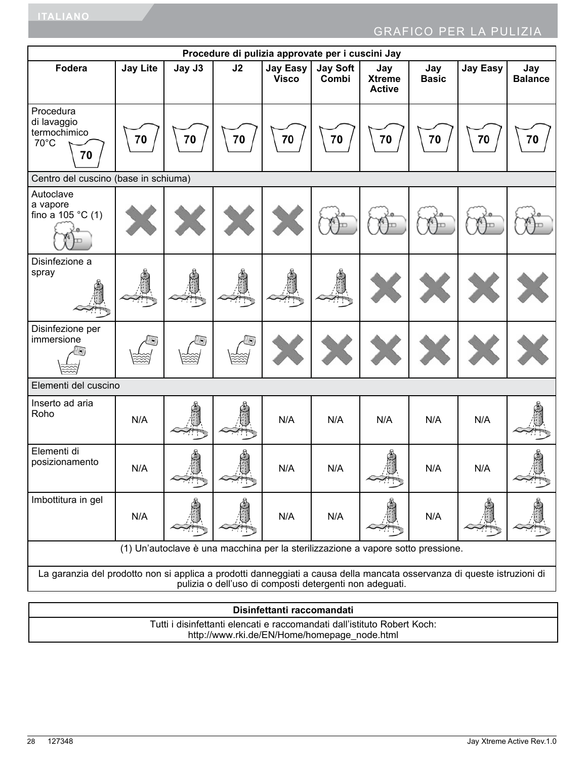# GRAFICO PER LA PULIZIA

<span id="page-24-0"></span>

| Procedure di pulizia approvate per i cuscini Jay                                                                        |                          |                          |                          |                                                         |                          |                                       |                     |                 |                       |
|-------------------------------------------------------------------------------------------------------------------------|--------------------------|--------------------------|--------------------------|---------------------------------------------------------|--------------------------|---------------------------------------|---------------------|-----------------|-----------------------|
| Fodera                                                                                                                  | <b>Jay Lite</b>          | Jay J3                   | J2                       | <b>Jay Easy</b><br><b>Visco</b>                         | <b>Jay Soft</b><br>Combi | Jay<br><b>Xtreme</b><br><b>Active</b> | Jay<br><b>Basic</b> | <b>Jay Easy</b> | Jay<br><b>Balance</b> |
| Procedura<br>di lavaggio<br>termochimico<br>70°C<br>70                                                                  | 70                       | 70                       | 70                       | 70                                                      | 70                       | 70                                    | 70                  | 70              | 70                    |
| Centro del cuscino (base in schiuma)                                                                                    |                          |                          |                          |                                                         |                          |                                       |                     |                 |                       |
| Autoclave<br>a vapore<br>fino a 105 °C (1)                                                                              |                          |                          |                          |                                                         |                          | D                                     |                     |                 |                       |
| Disinfezione a<br>spray                                                                                                 |                          |                          |                          |                                                         |                          |                                       |                     |                 |                       |
| Disinfezione per<br>immersione                                                                                          | $\left[ \bullet \right]$ | $\left[ \bullet \right]$ | $\left[ \bullet \right]$ |                                                         |                          |                                       |                     |                 |                       |
| Elementi del cuscino                                                                                                    |                          |                          |                          |                                                         |                          |                                       |                     |                 |                       |
| Inserto ad aria<br>Roho                                                                                                 | N/A                      |                          |                          | N/A                                                     | N/A                      | N/A                                   | N/A                 | N/A             |                       |
| Elementi di<br>posizionamento                                                                                           | N/A                      |                          |                          | N/A                                                     | N/A                      |                                       | N/A                 | N/A             |                       |
| Imbottitura in gel                                                                                                      | N/A                      |                          |                          | N/A                                                     | N/A                      |                                       | N/A                 |                 |                       |
| (1) Un'autoclave è una macchina per la sterilizzazione a vapore sotto pressione.                                        |                          |                          |                          |                                                         |                          |                                       |                     |                 |                       |
| La garanzia del prodotto non si applica a prodotti danneggiati a causa della mancata osservanza di queste istruzioni di |                          |                          |                          | pulizia o dell'uso di composti detergenti non adeguati. |                          |                                       |                     |                 |                       |

#### **Disinfettanti raccomandati**

Tutti i disinfettanti elencati e raccomandati dall'istituto Robert Koch: http://www.rki.de/EN/Home/homepage\_node.html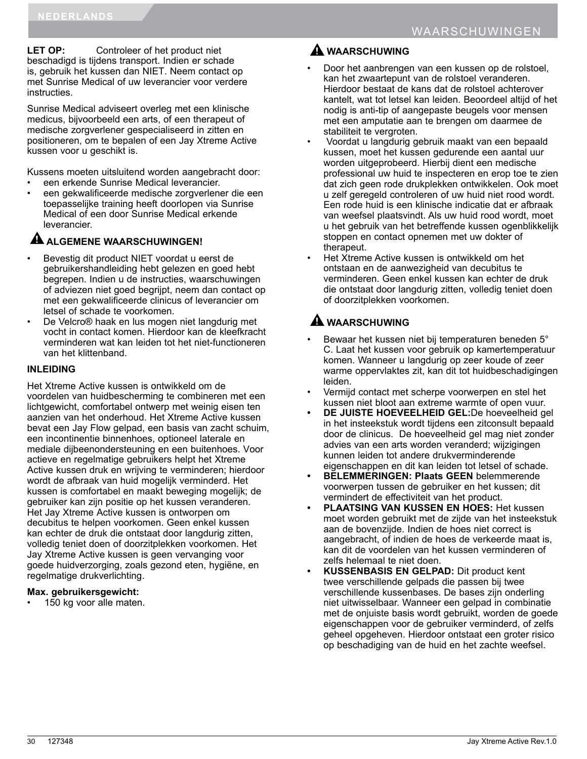<span id="page-25-0"></span>**LET OP:** Controleer of het product niet beschadigd is tijdens transport. Indien er schade is, gebruik het kussen dan NIET. Neem contact op met Sunrise Medical of uw leverancier voor verdere **instructies** 

Sunrise Medical adviseert overleg met een klinische medicus, bijvoorbeeld een arts, of een therapeut of medische zorgverlener gespecialiseerd in zitten en positioneren, om te bepalen of een Jay Xtreme Active kussen voor u geschikt is.

Kussens moeten uitsluitend worden aangebracht door:

- een erkende Sunrise Medical leverancier.
- een gekwalificeerde medische zorgverlener die een toepasselijke training heeft doorlopen via Sunrise Medical of een door Sunrise Medical erkende leverancier.

### **ALGEMENE WAARSCHUWINGEN!**

- Bevestig dit product NIET voordat u eerst de gebruikershandleiding hebt gelezen en goed hebt begrepen. Indien u de instructies, waarschuwingen of adviezen niet goed begrijpt, neem dan contact op met een gekwalificeerde clinicus of leverancier om letsel of schade te voorkomen.
- De Velcro® haak en lus mogen niet langdurig met vocht in contact komen. Hierdoor kan de kleefkracht verminderen wat kan leiden tot het niet-functioneren van het klittenband.

#### **INLEIDING**

Het Xtreme Active kussen is ontwikkeld om de voordelen van huidbescherming te combineren met een lichtgewicht, comfortabel ontwerp met weinig eisen ten aanzien van het onderhoud. Het Xtreme Active kussen bevat een Jay Flow gelpad, een basis van zacht schuim, een incontinentie binnenhoes, optioneel laterale en mediale dijbeenondersteuning en een buitenhoes. Voor actieve en regelmatige gebruikers helpt het Xtreme Active kussen druk en wrijving te verminderen; hierdoor wordt de afbraak van huid mogelijk verminderd. Het kussen is comfortabel en maakt beweging mogelijk; de gebruiker kan zijn positie op het kussen veranderen. Het Jay Xtreme Active kussen is ontworpen om decubitus te helpen voorkomen. Geen enkel kussen kan echter de druk die ontstaat door langdurig zitten, volledig teniet doen of doorzitplekken voorkomen. Het Jay Xtreme Active kussen is geen vervanging voor goede huidverzorging, zoals gezond eten, hygiëne, en regelmatige drukverlichting.

#### **Max. gebruikersgewicht:**

150 kg voor alle maten.

# **A** WAARSCHUWING

- Door het aanbrengen van een kussen op de rolstoel, kan het zwaartepunt van de rolstoel veranderen. Hierdoor bestaat de kans dat de rolstoel achterover kantelt, wat tot letsel kan leiden. Beoordeel altijd of het nodig is anti-tip of aangepaste beugels voor mensen met een amputatie aan te brengen om daarmee de stabiliteit te vergroten.
- Voordat u langdurig gebruik maakt van een bepaald kussen, moet het kussen gedurende een aantal uur worden uitgeprobeerd. Hierbij dient een medische professional uw huid te inspecteren en erop toe te zien dat zich geen rode drukplekken ontwikkelen. Ook moet u zelf geregeld controleren of uw huid niet rood wordt. Een rode huid is een klinische indicatie dat er afbraak van weefsel plaatsvindt. Als uw huid rood wordt, moet u het gebruik van het betreffende kussen ogenblikkelijk stoppen en contact opnemen met uw dokter of therapeut.
- Het Xtreme Active kussen is ontwikkeld om het ontstaan en de aanwezigheid van decubitus te verminderen. Geen enkel kussen kan echter de druk die ontstaat door langdurig zitten, volledig teniet doen of doorzitplekken voorkomen.

# **A** WAARSCHUWING

- Bewaar het kussen niet bij temperaturen beneden 5° C. Laat het kussen voor gebruik op kamertemperatuur komen. Wanneer u langdurig op zeer koude of zeer warme oppervlaktes zit, kan dit tot huidbeschadigingen leiden.
- Vermijd contact met scherpe voorwerpen en stel het kussen niet bloot aan extreme warmte of open vuur.
- **• DE JUISTE HOEVEELHEID GEL:**De hoeveelheid gel in het insteekstuk wordt tijdens een zitconsult bepaald door de clinicus. De hoeveelheid gel mag niet zonder advies van een arts worden veranderd; wijzigingen kunnen leiden tot andere drukverminderende eigenschappen en dit kan leiden tot letsel of schade.
- **• BELEMMERINGEN: Plaats GEEN** belemmerende voorwerpen tussen de gebruiker en het kussen; dit vermindert de effectiviteit van het product.
- **• PLAATSING VAN KUSSEN EN HOES:** Het kussen moet worden gebruikt met de zijde van het insteekstuk aan de bovenzijde. Indien de hoes niet correct is aangebracht, of indien de hoes de verkeerde maat is, kan dit de voordelen van het kussen verminderen of zelfs helemaal te niet doen.
- **• KUSSENBASIS EN GELPAD:** Dit product kent twee verschillende gelpads die passen bij twee verschillende kussenbases. De bases zijn onderling niet uitwisselbaar. Wanneer een gelpad in combinatie met de onjuiste basis wordt gebruikt, worden de goede eigenschappen voor de gebruiker verminderd, of zelfs geheel opgeheven. Hierdoor ontstaat een groter risico op beschadiging van de huid en het zachte weefsel.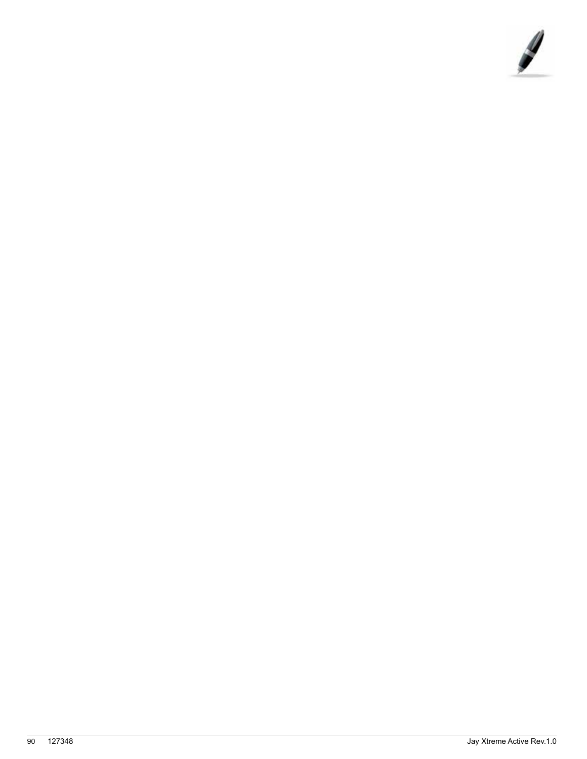![](_page_26_Picture_0.jpeg)